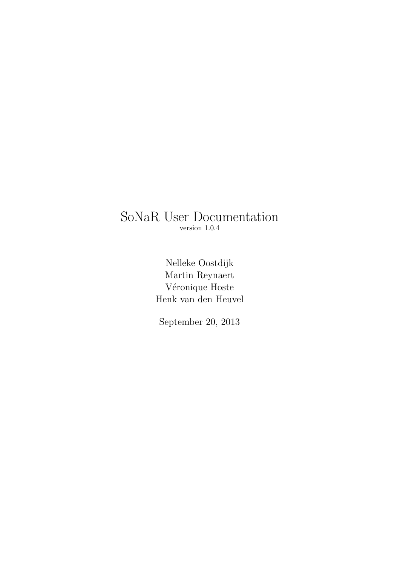## SoNaR User Documentation version 1.0.4

Nelleke Oostdijk Martin Reynaert Véronique Hoste Henk van den Heuvel

September 20, 2013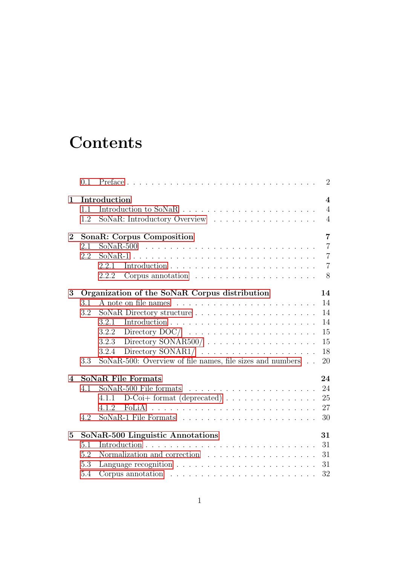# **Contents**

|                | 0.1 |                                                                               | $\overline{2}$ |
|----------------|-----|-------------------------------------------------------------------------------|----------------|
| 1              |     | Introduction                                                                  | $\overline{4}$ |
|                | 1.1 |                                                                               | $\overline{4}$ |
|                | 1.2 | SoNaR: Introductory Overview                                                  | $\overline{4}$ |
| $\overline{2}$ |     | SonaR: Corpus Composition                                                     | $\overline{7}$ |
|                | 2.1 | $SoNaR-500$                                                                   | $\overline{7}$ |
|                | 2.2 | $SoNaR-1$ .                                                                   | $\overline{7}$ |
|                |     | 2.2.1                                                                         | $\overline{7}$ |
|                |     | Corpus annotation $\ldots \ldots \ldots \ldots \ldots \ldots$<br>2.2.2        | 8              |
| 3              |     | Organization of the SoNaR Corpus distribution                                 | 14             |
|                | 3.1 |                                                                               | 14             |
|                | 3.2 |                                                                               | 14             |
|                |     | 3.2.1                                                                         | 14             |
|                |     | Directory DOC/ $\ldots \ldots \ldots \ldots \ldots \ldots \ldots$<br>3.2.2    | 15             |
|                |     | Directory $SONAR500/$<br>3.2.3                                                | 15             |
|                |     | Directory SONAR1/ $\ldots \ldots \ldots \ldots \ldots \ldots \ldots$<br>3.2.4 | 18             |
|                | 3.3 | SoNaR-500: Overview of file names, file sizes and numbers                     | 20             |
| 4              |     | <b>SoNaR File Formats</b>                                                     | 24             |
|                | 4.1 |                                                                               | 24             |
|                |     | $D$ -Coi+ format (deprecated) $\ldots \ldots \ldots \ldots \ldots$<br>4.1.1   | 25             |
|                |     | 4.1.2                                                                         | 27             |
|                | 4.2 |                                                                               | 30             |
| $\bf{5}$       |     | SoNaR-500 Linguistic Annotations                                              | 31             |
|                | 5.1 |                                                                               | 31             |
|                | 5.2 |                                                                               | 31             |
|                | 5.3 |                                                                               | 31             |
|                | 5.4 | Corpus annotation $\ldots \ldots \ldots \ldots \ldots \ldots \ldots \ldots$   | 32             |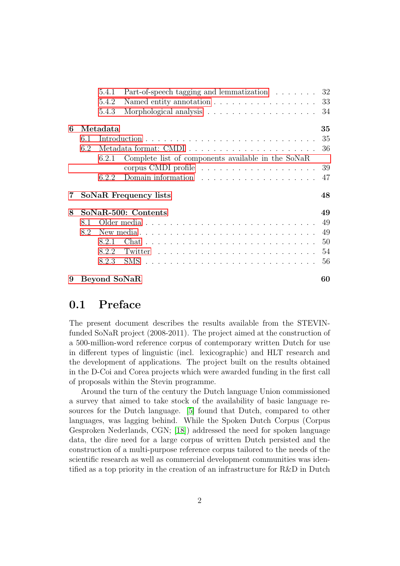|   |     | 5.4.1               | Part-of-speech tagging and lemmatization 32        |    |
|---|-----|---------------------|----------------------------------------------------|----|
|   |     | 5.4.2               |                                                    | 33 |
|   |     | 5.4.3               |                                                    | 34 |
| 6 |     | Metadata            |                                                    | 35 |
|   | 6.1 |                     |                                                    | 35 |
|   | 6.2 |                     |                                                    | 36 |
|   |     | 6.2.1               | Complete list of components available in the SoNaR |    |
|   |     |                     |                                                    | 39 |
|   |     | 6.2.2               |                                                    | 47 |
|   |     |                     | SoNaR Frequency lists                              | 48 |
| 8 |     |                     | SoNaR-500: Contents                                | 49 |
|   | 8.1 |                     |                                                    | 49 |
|   | 8.2 |                     |                                                    | 49 |
|   |     | 8.2.1               |                                                    | 50 |
|   |     | 8.2.2               |                                                    | 54 |
|   |     | 8.2.3               |                                                    | 56 |
| 9 |     | <b>Beyond SoNaR</b> |                                                    | 60 |

## <span id="page-2-0"></span>0.1 Preface

The present document describes the results available from the STEVINfunded SoNaR project (2008-2011). The project aimed at the construction of a 500-million-word reference corpus of contemporary written Dutch for use in different types of linguistic (incl. lexicographic) and HLT research and the development of applications. The project built on the results obtained in the D-Coi and Corea projects which were awarded funding in the first call of proposals within the Stevin programme.

Around the turn of the century the Dutch language Union commissioned a survey that aimed to take stock of the availability of basic language resources for the Dutch language. [\[5\]](#page-61-0) found that Dutch, compared to other languages, was lagging behind. While the Spoken Dutch Corpus (Corpus Gesproken Nederlands, CGN; [\[18\]](#page-63-0)) addressed the need for spoken language data, the dire need for a large corpus of written Dutch persisted and the construction of a multi-purpose reference corpus tailored to the needs of the scientific research as well as commercial development communities was identified as a top priority in the creation of an infrastructure for R&D in Dutch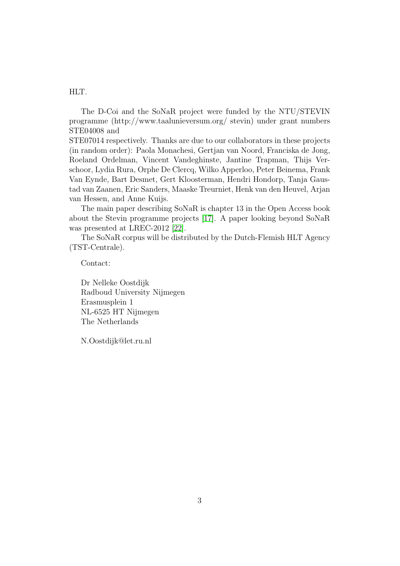### HLT.

The D-Coi and the SoNaR project were funded by the NTU/STEVIN programme (http://www.taalunieversum.org/ stevin) under grant numbers STE04008 and

STE07014 respectively. Thanks are due to our collaborators in these projects (in random order): Paola Monachesi, Gertjan van Noord, Franciska de Jong, Roeland Ordelman, Vincent Vandeghinste, Jantine Trapman, Thijs Verschoor, Lydia Rura, Orphe De Clercq, Wilko Apperloo, Peter Beinema, Frank Van Eynde, Bart Desmet, Gert Kloosterman, Hendri Hondorp, Tanja Gaustad van Zaanen, Eric Sanders, Maaske Treurniet, Henk van den Heuvel, Arjan van Hessen, and Anne Kuijs.

The main paper describing SoNaR is chapter 13 in the Open Access book about the Stevin programme projects [\[17\]](#page-62-0). A paper looking beyond SoNaR was presented at LREC-2012 [\[22\]](#page-63-1).

The SoNaR corpus will be distributed by the Dutch-Flemish HLT Agency (TST-Centrale).

Contact:

Dr Nelleke Oostdijk Radboud University Nijmegen Erasmusplein 1 NL-6525 HT Nijmegen The Netherlands

N.Oostdijk@let.ru.nl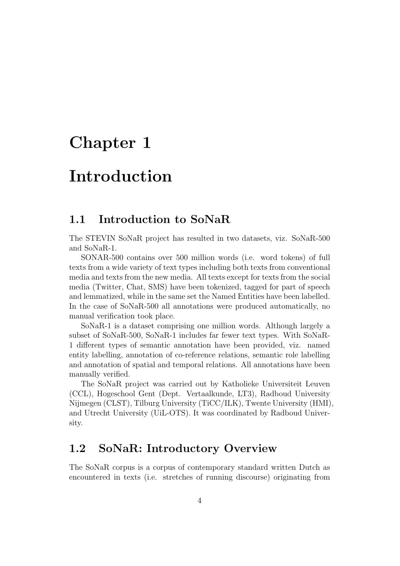# <span id="page-4-0"></span>Chapter 1

# Introduction

## <span id="page-4-1"></span>1.1 Introduction to SoNaR

The STEVIN SoNaR project has resulted in two datasets, viz. SoNaR-500 and SoNaR-1.

SONAR-500 contains over 500 million words (i.e. word tokens) of full texts from a wide variety of text types including both texts from conventional media and texts from the new media. All texts except for texts from the social media (Twitter, Chat, SMS) have been tokenized, tagged for part of speech and lemmatized, while in the same set the Named Entities have been labelled. In the case of SoNaR-500 all annotations were produced automatically, no manual verification took place.

SoNaR-1 is a dataset comprising one million words. Although largely a subset of SoNaR-500, SoNaR-1 includes far fewer text types. With SoNaR-1 different types of semantic annotation have been provided, viz. named entity labelling, annotation of co-reference relations, semantic role labelling and annotation of spatial and temporal relations. All annotations have been manually verified.

The SoNaR project was carried out by Katholieke Universiteit Leuven (CCL), Hogeschool Gent (Dept. Vertaalkunde, LT3), Radboud University Nijmegen (CLST), Tilburg University (TiCC/ILK), Twente University (HMI), and Utrecht University (UiL-OTS). It was coordinated by Radboud University.

## <span id="page-4-2"></span>1.2 SoNaR: Introductory Overview

The SoNaR corpus is a corpus of contemporary standard written Dutch as encountered in texts (i.e. stretches of running discourse) originating from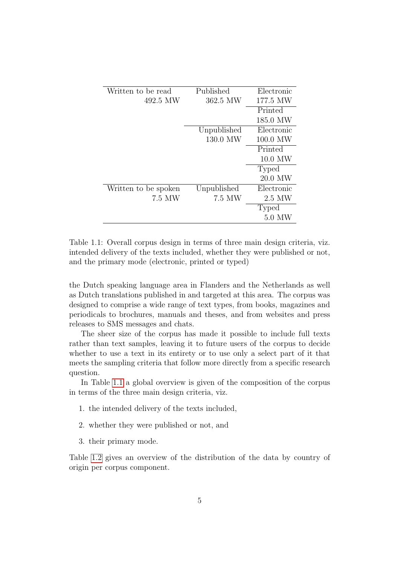| Written to be read   | Published   | Electronic   |
|----------------------|-------------|--------------|
|                      |             |              |
| 492.5 MW             | 362.5 MW    | 177.5 MW     |
|                      |             | Printed      |
|                      |             | 185.0 MW     |
|                      | Unpublished | Electronic   |
|                      | 130.0 MW    | 100.0 MW     |
|                      |             | Printed      |
|                      |             | 10.0 MW      |
|                      |             | <b>Typed</b> |
|                      |             | 20.0 MW      |
| Written to be spoken | Unpublished | Electronic   |
| 7.5 MW               | 7.5 MW      | 2.5 MW       |
|                      |             | Typed        |
|                      |             | 5.0 MW       |

<span id="page-5-0"></span>Table 1.1: Overall corpus design in terms of three main design criteria, viz. intended delivery of the texts included, whether they were published or not, and the primary mode (electronic, printed or typed)

the Dutch speaking language area in Flanders and the Netherlands as well as Dutch translations published in and targeted at this area. The corpus was designed to comprise a wide range of text types, from books, magazines and periodicals to brochures, manuals and theses, and from websites and press releases to SMS messages and chats.

The sheer size of the corpus has made it possible to include full texts rather than text samples, leaving it to future users of the corpus to decide whether to use a text in its entirety or to use only a select part of it that meets the sampling criteria that follow more directly from a specific research question.

In Table [1.1](#page-5-0) a global overview is given of the composition of the corpus in terms of the three main design criteria, viz.

- 1. the intended delivery of the texts included,
- 2. whether they were published or not, and
- 3. their primary mode.

Table [1.2](#page-6-0) gives an overview of the distribution of the data by country of origin per corpus component.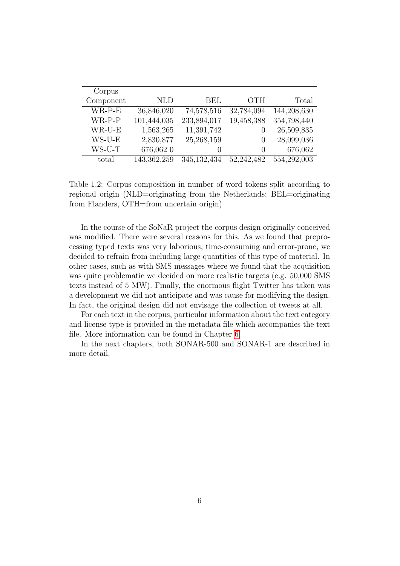| Corpus    |             |               |                  |             |
|-----------|-------------|---------------|------------------|-------------|
| Component | <b>NLD</b>  | BEL           | <b>OTH</b>       | Total       |
| $WR$ -P-E | 36,846,020  | 74,578,516    | 32,784,094       | 144,208,630 |
| $WR$ -P-P | 101,444,035 | 233,894,017   | 19,458,388       | 354,798,440 |
| $WR$ -U-E | 1,563,265   | 11,391,742    | $\left( \right)$ | 26,509,835  |
| $WS-U-E$  | 2,830,877   | 25,268,159    | $\left( \right)$ | 28,099,036  |
| WS-U-T    | 676,062 0   |               | $\left( \right)$ | 676,062     |
| total     | 143,362,259 | 345, 132, 434 | 52,242,482       | 554,292,003 |

<span id="page-6-0"></span>Table 1.2: Corpus composition in number of word tokens split according to regional origin (NLD=originating from the Netherlands; BEL=originating from Flanders, OTH=from uncertain origin)

In the course of the SoNaR project the corpus design originally conceived was modified. There were several reasons for this. As we found that preprocessing typed texts was very laborious, time-consuming and error-prone, we decided to refrain from including large quantities of this type of material. In other cases, such as with SMS messages where we found that the acquisition was quite problematic we decided on more realistic targets (e.g. 50,000 SMS texts instead of 5 MW). Finally, the enormous flight Twitter has taken was a development we did not anticipate and was cause for modifying the design. In fact, the original design did not envisage the collection of tweets at all.

For each text in the corpus, particular information about the text category and license type is provided in the metadata file which accompanies the text file. More information can be found in Chapter [6.](#page-35-0)

In the next chapters, both SONAR-500 and SONAR-1 are described in more detail.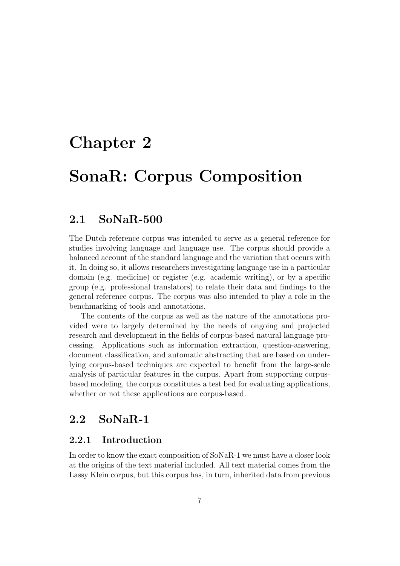# <span id="page-7-0"></span>Chapter 2

# SonaR: Corpus Composition

## <span id="page-7-1"></span>2.1 SoNaR-500

The Dutch reference corpus was intended to serve as a general reference for studies involving language and language use. The corpus should provide a balanced account of the standard language and the variation that occurs with it. In doing so, it allows researchers investigating language use in a particular domain (e.g. medicine) or register (e.g. academic writing), or by a specific group (e.g. professional translators) to relate their data and findings to the general reference corpus. The corpus was also intended to play a role in the benchmarking of tools and annotations.

The contents of the corpus as well as the nature of the annotations provided were to largely determined by the needs of ongoing and projected research and development in the fields of corpus-based natural language processing. Applications such as information extraction, question-answering, document classification, and automatic abstracting that are based on underlying corpus-based techniques are expected to benefit from the large-scale analysis of particular features in the corpus. Apart from supporting corpusbased modeling, the corpus constitutes a test bed for evaluating applications, whether or not these applications are corpus-based.

## <span id="page-7-2"></span>2.2 SoNaR-1

### <span id="page-7-3"></span>2.2.1 Introduction

In order to know the exact composition of SoNaR-1 we must have a closer look at the origins of the text material included. All text material comes from the Lassy Klein corpus, but this corpus has, in turn, inherited data from previous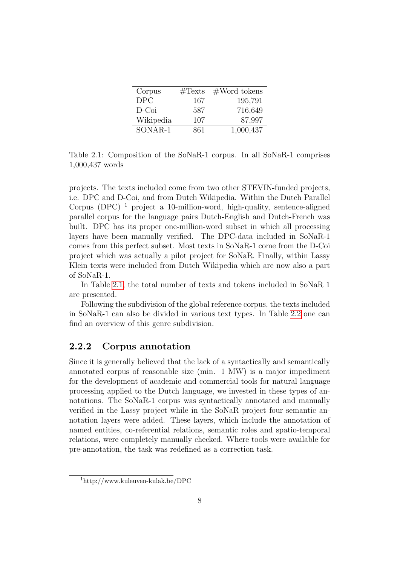| Corpus    | #Texts | $#Word$ tokens |
|-----------|--------|----------------|
| DPC       | 167    | 195,791        |
| D-Coi     | 587    | 716,649        |
| Wikipedia | 107    | 87,997         |
| SONAR-1   | 861    | 1,000,437      |

<span id="page-8-1"></span>Table 2.1: Composition of the SoNaR-1 corpus. In all SoNaR-1 comprises 1,000,437 words

projects. The texts included come from two other STEVIN-funded projects, i.e. DPC and D-Coi, and from Dutch Wikipedia. Within the Dutch Parallel Corpus  $(DPC)^{-1}$  project a 10-million-word, high-quality, sentence-aligned parallel corpus for the language pairs Dutch-English and Dutch-French was built. DPC has its proper one-million-word subset in which all processing layers have been manually verified. The DPC-data included in SoNaR-1 comes from this perfect subset. Most texts in SoNaR-1 come from the D-Coi project which was actually a pilot project for SoNaR. Finally, within Lassy Klein texts were included from Dutch Wikipedia which are now also a part of SoNaR-1.

In Table [2.1,](#page-8-1) the total number of texts and tokens included in SoNaR 1 are presented.

Following the subdivision of the global reference corpus, the texts included in SoNaR-1 can also be divided in various text types. In Table [2.2](#page-9-0) one can find an overview of this genre subdivision.

### <span id="page-8-0"></span>2.2.2 Corpus annotation

Since it is generally believed that the lack of a syntactically and semantically annotated corpus of reasonable size (min. 1 MW) is a major impediment for the development of academic and commercial tools for natural language processing applied to the Dutch language, we invested in these types of annotations. The SoNaR-1 corpus was syntactically annotated and manually verified in the Lassy project while in the SoNaR project four semantic annotation layers were added. These layers, which include the annotation of named entities, co-referential relations, semantic roles and spatio-temporal relations, were completely manually checked. Where tools were available for pre-annotation, the task was redefined as a correction task.

<sup>1</sup>http://www.kuleuven-kulak.be/DPC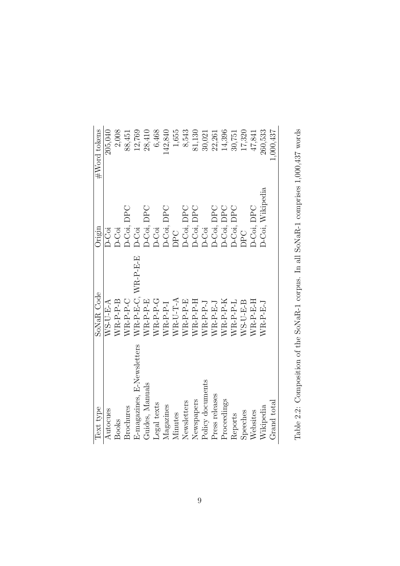| Text type                  | SoNaR Code         | Origin           | #Word tokens |
|----------------------------|--------------------|------------------|--------------|
| Autocues                   | $WS-U-E-A$         | D-Cö             | 205,040      |
| <b>Books</b>               | WR-P-P-B           | D-Coi            | 2,008        |
| Brochures                  | WR-P-P-C           | D-Coi, DPC       | 88,451       |
| E-magazines, E-Newsletters | WR-P-E-C, WR-P-E-E | D-Coi            | 12,769       |
| Guides, Manuals            | WR-P-P-E           | D-Coi, DPC       | 28,410       |
| Legal texts                | WR-P-P-G           | D-Coi            | 6,468        |
| Magazines                  | VR-P-P-I           | D-Coi, DPC       | 142,840      |
| Minutes                    | $N R$ -U-T-A       | DPC              | 1,655        |
| Newsletters                | WR-P-P-E           | D-Coi, DPC       | 8,543        |
| Newspapers                 | WR-P-P-H           | D-Coi, DPC       | 81,130       |
| Policy documents           | $WR-P-P-J$         | D-Coi            | 30,021       |
| Press releases             | WR-P-E-J           | D-Coi, DPC       | 22,261       |
| Proceedings                | VR-P-P-K           | D-Coi, DPC       | 14,396       |
| Reports                    | VR-P-P-L           | D-Coi, DPC       | 30,751       |
| Speeches                   | $NS-U-E-B$         | DPC              | 17,320       |
| Websites                   | <b>NR-P-E-H</b>    | D-Coi, DPC       | 47,841       |
| Wikipedia                  | $N\text{R-P-E-J}$  | D-Coi, Wikipedia | 260,533      |
| Grand total                |                    |                  | 1,000,437    |
|                            |                    |                  |              |

<span id="page-9-0"></span>Table 2.2: Composition of the SoNaR-1 corpus. In all SoNaR-1 comprises 1,000,437 words Table 2.2: Composition of the SoNaR-1 corpus. In all SoNaR-1 comprises 1,000,437 words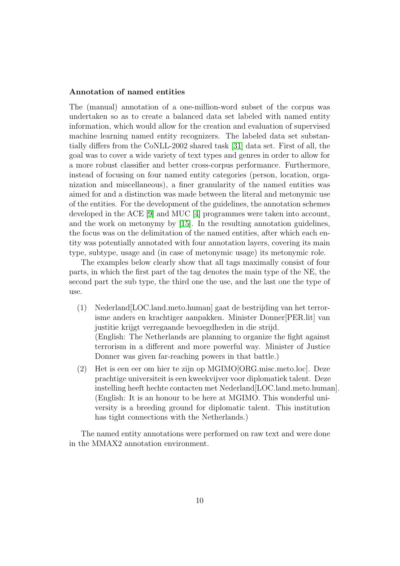### Annotation of named entities

The (manual) annotation of a one-million-word subset of the corpus was undertaken so as to create a balanced data set labeled with named entity information, which would allow for the creation and evaluation of supervised machine learning named entity recognizers. The labeled data set substantially differs from the CoNLL-2002 shared task [\[31\]](#page-64-0) data set. First of all, the goal was to cover a wide variety of text types and genres in order to allow for a more robust classifier and better cross-corpus performance. Furthermore, instead of focusing on four named entity categories (person, location, organization and miscellaneous), a finer granularity of the named entities was aimed for and a distinction was made between the literal and metonymic use of the entities. For the development of the guidelines, the annotation schemes developed in the ACE [\[9\]](#page-62-1) and MUC [\[4\]](#page-61-1) programmes were taken into account, and the work on metonymy by [\[15\]](#page-62-2). In the resulting annotation guidelines, the focus was on the delimitation of the named entities, after which each entity was potentially annotated with four annotation layers, covering its main type, subtype, usage and (in case of metonymic usage) its metonymic role.

The examples below clearly show that all tags maximally consist of four parts, in which the first part of the tag denotes the main type of the NE, the second part the sub type, the third one the use, and the last one the type of use.

- (1) Nederland[LOC.land.meto.human] gaat de bestrijding van het terrorisme anders en krachtiger aanpakken. Minister Donner[PER.lit] van justitie krijgt verregaande bevoegdheden in die strijd. (English: The Netherlands are planning to organize the fight against terrorism in a different and more powerful way. Minister of Justice Donner was given far-reaching powers in that battle.)
- (2) Het is een eer om hier te zijn op MGIMO[ORG.misc.meto.loc]. Deze prachtige universiteit is een kweekvijver voor diplomatiek talent. Deze instelling heeft hechte contacten met Nederland[LOC.land.meto.human]. (English: It is an honour to be here at MGIMO. This wonderful university is a breeding ground for diplomatic talent. This institution has tight connections with the Netherlands.)

The named entity annotations were performed on raw text and were done in the MMAX2 annotation environment.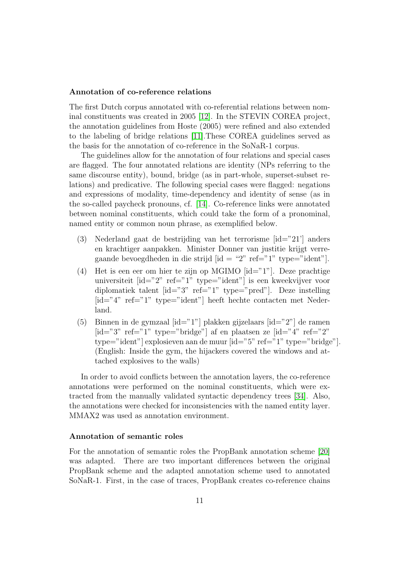#### Annotation of co-reference relations

The first Dutch corpus annotated with co-referential relations between nominal constituents was created in 2005 [\[12\]](#page-62-3). In the STEVIN COREA project, the annotation guidelines from Hoste (2005) were refined and also extended to the labeling of bridge relations [\[11\]](#page-62-4).These COREA guidelines served as the basis for the annotation of co-reference in the SoNaR-1 corpus.

The guidelines allow for the annotation of four relations and special cases are flagged. The four annotated relations are identity (NPs referring to the same discourse entity), bound, bridge (as in part-whole, superset-subset relations) and predicative. The following special cases were flagged: negations and expressions of modality, time-dependency and identity of sense (as in the so-called paycheck pronouns, cf. [\[14\]](#page-62-5). Co-reference links were annotated between nominal constituents, which could take the form of a pronominal, named entity or common noun phrase, as exemplified below.

- (3) Nederland gaat de bestrijding van het terrorisme [id="21'] anders en krachtiger aanpakken. Minister Donner van justitie krijgt verregaande bevoegdheden in die strijd  $id = "2"$  ref="1" type="ident".
- (4) Het is een eer om hier te zijn op MGIMO [id="1"]. Deze prachtige universiteit [id="2" ref="1" type="ident"] is een kweekvijver voor diplomatiek talent [id="3" ref="1" type="pred"]. Deze instelling [id="4" ref="1" type="ident"] heeft hechte contacten met Nederland.
- (5) Binnen in de gymzaal  $\left[\text{id} = "1" \right]$  plakken gijzelaars  $\left[\text{id} = "2" \right]$  de ramen [id="3" ref="1" type="bridge"] af en plaatsen ze [id="4" ref="2" type="ident"] explosieven aan de muur [id="5" ref="1" type="bridge"]. (English: Inside the gym, the hijackers covered the windows and attached explosives to the walls)

In order to avoid conflicts between the annotation layers, the co-reference annotations were performed on the nominal constituents, which were extracted from the manually validated syntactic dependency trees [\[34\]](#page-64-1). Also, the annotations were checked for inconsistencies with the named entity layer. MMAX2 was used as annotation environment.

#### Annotation of semantic roles

For the annotation of semantic roles the PropBank annotation scheme [\[20\]](#page-63-2) was adapted. There are two important differences between the original PropBank scheme and the adapted annotation scheme used to annotated SoNaR-1. First, in the case of traces, PropBank creates co-reference chains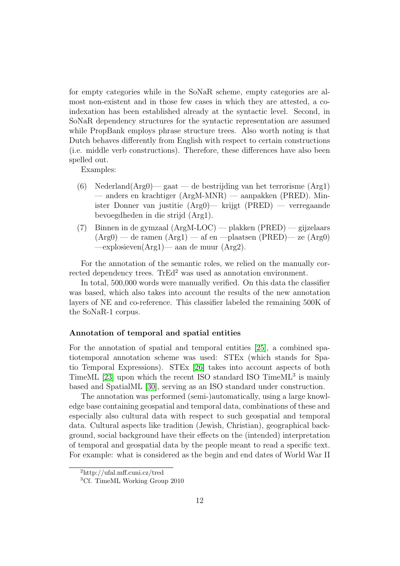for empty categories while in the SoNaR scheme, empty categories are almost non-existent and in those few cases in which they are attested, a coindexation has been established already at the syntactic level. Second, in SoNaR dependency structures for the syntactic representation are assumed while PropBank employs phrase structure trees. Also worth noting is that Dutch behaves differently from English with respect to certain constructions (i.e. middle verb constructions). Therefore, these differences have also been spelled out.

Examples:

- (6) Nederland(Arg0)— gaat de bestrijding van het terrorisme (Arg1) — anders en krachtiger (ArgM-MNR) — aanpakken (PRED). Minister Donner van justitie (Arg0)— krijgt (PRED) — verregaande bevoegdheden in die strijd (Arg1).
- (7) Binnen in de gymzaal (ArgM-LOC) plakken (PRED) gijzelaars  $(Arg0)$  — de ramen  $(Arg1)$  — af en —plaatsen  $(PRED)$ — ze  $(Arg0)$ —explosieven(Arg1)— aan de muur (Arg2).

For the annotation of the semantic roles, we relied on the manually corrected dependency trees.  $TrEd^2$  was used as annotation environment.

In total, 500,000 words were manually verified. On this data the classifier was based, which also takes into account the results of the new annotation layers of NE and co-reference. This classifier labeled the remaining 500K of the SoNaR-1 corpus.

#### Annotation of temporal and spatial entities

For the annotation of spatial and temporal entities [\[25\]](#page-63-3), a combined spatiotemporal annotation scheme was used: STEx (which stands for Spatio Temporal Expressions). STEx [\[26\]](#page-63-4) takes into account aspects of both TimeML [\[23\]](#page-63-5) upon which the recent ISO standard ISO TimeML<sup>3</sup> is mainly based and SpatialML [\[30\]](#page-64-2), serving as an ISO standard under construction.

The annotation was performed (semi-)automatically, using a large knowledge base containing geospatial and temporal data, combinations of these and especially also cultural data with respect to such geospatial and temporal data. Cultural aspects like tradition (Jewish, Christian), geographical background, social background have their effects on the (intended) interpretation of temporal and geospatial data by the people meant to read a specific text. For example: what is considered as the begin and end dates of World War II

<sup>2</sup>http://ufal.mff.cuni.cz/tred

<sup>&</sup>lt;sup>3</sup>Cf. TimeML Working Group 2010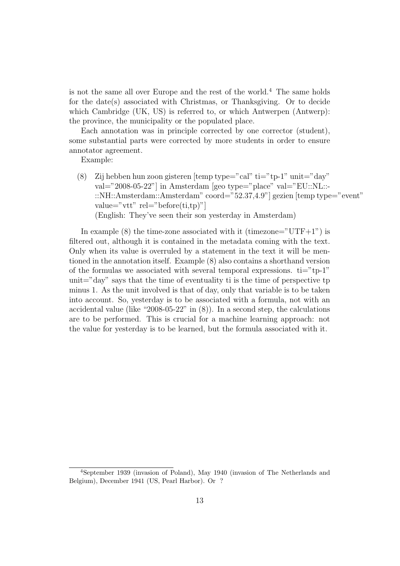is not the same all over Europe and the rest of the world.<sup>4</sup> The same holds for the date(s) associated with Christmas, or Thanksgiving. Or to decide which Cambridge (UK, US) is referred to, or which Antwerpen (Antwerp): the province, the municipality or the populated place.

Each annotation was in principle corrected by one corrector (student), some substantial parts were corrected by more students in order to ensure annotator agreement.

Example:

(8) Zij hebben hun zoon gisteren  $[temp type="cal"$  ti="tp-1" unit="day" val="2008-05-22"] in Amsterdam [geo type="place" val="EU::NL::- ::NH::Amsterdam::Amsterdam" coord="52.37,4.9"] gezien [temp type="event" value="vtt" rel="before $(i,tp)$ "] (English: They've seen their son yesterday in Amsterdam)

In example  $(8)$  the time-zone associated with it (timezone="UTF+1") is filtered out, although it is contained in the metadata coming with the text. Only when its value is overruled by a statement in the text it will be mentioned in the annotation itself. Example (8) also contains a shorthand version of the formulas we associated with several temporal expressions.  $ti="tp-1"$ unit="day" says that the time of eventuality ti is the time of perspective tp minus 1. As the unit involved is that of day, only that variable is to be taken into account. So, yesterday is to be associated with a formula, not with an accidental value (like "2008-05-22" in  $(8)$ ). In a second step, the calculations are to be performed. This is crucial for a machine learning approach: not the value for yesterday is to be learned, but the formula associated with it.

<sup>4</sup>September 1939 (invasion of Poland), May 1940 (invasion of The Netherlands and Belgium), December 1941 (US, Pearl Harbor). Or ?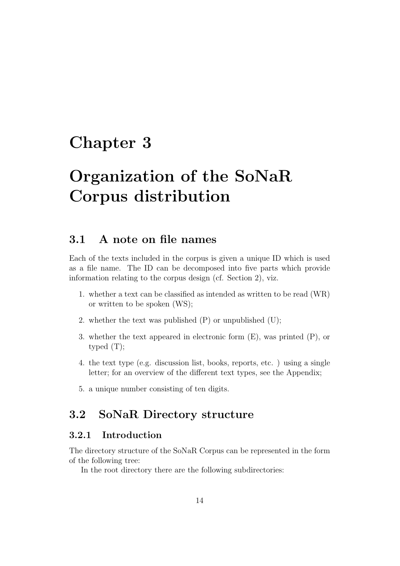# <span id="page-14-0"></span>Chapter 3

# Organization of the SoNaR Corpus distribution

## <span id="page-14-1"></span>3.1 A note on file names

Each of the texts included in the corpus is given a unique ID which is used as a file name. The ID can be decomposed into five parts which provide information relating to the corpus design (cf. Section 2), viz.

- 1. whether a text can be classified as intended as written to be read (WR) or written to be spoken (WS);
- 2. whether the text was published (P) or unpublished (U);
- 3. whether the text appeared in electronic form (E), was printed (P), or typed (T);
- 4. the text type (e.g. discussion list, books, reports, etc. ) using a single letter; for an overview of the different text types, see the Appendix;
- 5. a unique number consisting of ten digits.

## <span id="page-14-2"></span>3.2 SoNaR Directory structure

### <span id="page-14-3"></span>3.2.1 Introduction

The directory structure of the SoNaR Corpus can be represented in the form of the following tree:

In the root directory there are the following subdirectories: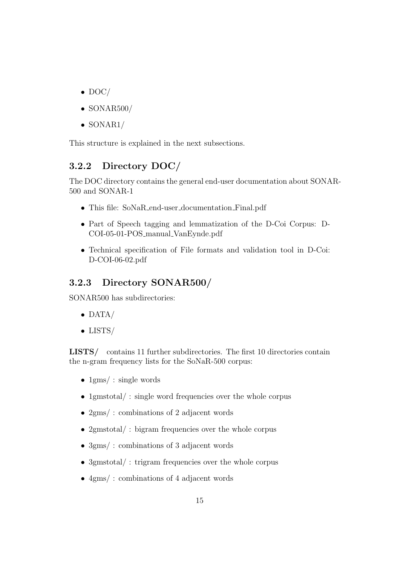- DOC/
- SONAR500/
- SONAR1/

This structure is explained in the next subsections.

### <span id="page-15-0"></span>3.2.2 Directory DOC/

The DOC directory contains the general end-user documentation about SONAR-500 and SONAR-1

- This file: SoNaR\_end-user\_documentation\_Final.pdf
- Part of Speech tagging and lemmatization of the D-Coi Corpus: D-COI-05-01-POS manual VanEynde.pdf
- Technical specification of File formats and validation tool in D-Coi: D-COI-06-02.pdf

### <span id="page-15-1"></span>3.2.3 Directory SONAR500/

SONAR500 has subdirectories:

- DATA/
- LISTS/

LISTS/ contains 11 further subdirectories. The first 10 directories contain the n-gram frequency lists for the SoNaR-500 corpus:

- 1gms/: single words
- 1gmstotal/: single word frequencies over the whole corpus
- 2gms/: combinations of 2 adjacent words
- 2gmstotal/: bigram frequencies over the whole corpus
- 3gms/: combinations of 3 adjacent words
- 3gmstotal/: trigram frequencies over the whole corpus
- 4gms/: combinations of 4 adjacent words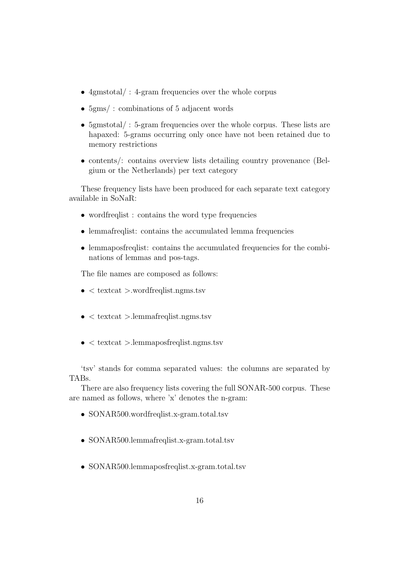- 4gmstotal/: 4-gram frequencies over the whole corpus
- 5gms/: combinations of 5 adjacent words
- 5gmstotal/: 5-gram frequencies over the whole corpus. These lists are hapaxed: 5-grams occurring only once have not been retained due to memory restrictions
- contents/: contains overview lists detailing country provenance (Belgium or the Netherlands) per text category

These frequency lists have been produced for each separate text category available in SoNaR:

- wordfreqlist : contains the word type frequencies
- lemmafreqlist: contains the accumulated lemma frequencies
- lemmaposfreqlist: contains the accumulated frequencies for the combinations of lemmas and pos-tags.

The file names are composed as follows:

- < textcat >.wordfreqlist.ngms.tsv
- $\leq$  textcat  $>$ lemmafreqlist.ngms.tsv
- $\leq$  textcat  $>$ .lemmaposfreqlist.ngms.tsv

'tsv' stands for comma separated values: the columns are separated by TABs.

There are also frequency lists covering the full SONAR-500 corpus. These are named as follows, where 'x' denotes the n-gram:

- SONAR500.wordfreqlist.x-gram.total.tsv
- SONAR500.lemmafreqlist.x-gram.total.tsv
- SONAR500.lemmaposfreqlist.x-gram.total.tsv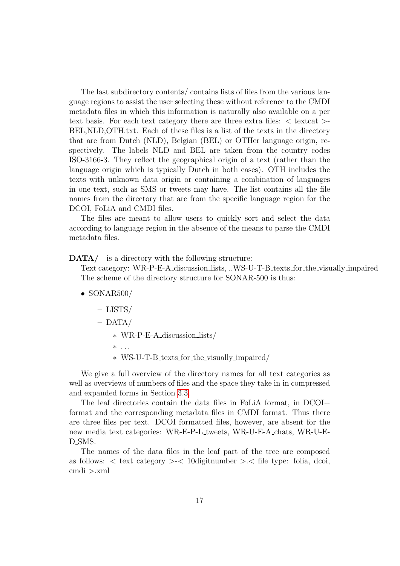The last subdirectory contents/ contains lists of files from the various language regions to assist the user selecting these without reference to the CMDI metadata files in which this information is naturally also available on a per text basis. For each text category there are three extra files:  $\lt$  textcat  $\gt$ -BEL,NLD,OTH.txt. Each of these files is a list of the texts in the directory that are from Dutch (NLD), Belgian (BEL) or OTHer language origin, respectively. The labels NLD and BEL are taken from the country codes ISO-3166-3. They reflect the geographical origin of a text (rather than the language origin which is typically Dutch in both cases). OTH includes the texts with unknown data origin or containing a combination of languages in one text, such as SMS or tweets may have. The list contains all the file names from the directory that are from the specific language region for the DCOI, FoLiA and CMDI files.

The files are meant to allow users to quickly sort and select the data according to language region in the absence of the means to parse the CMDI metadata files.

DATA/ is a directory with the following structure:

Text category: WR-P-E-A discussion lists, ..WS-U-T-B texts for the visually impaired The scheme of the directory structure for SONAR-500 is thus:

- SONAR500/
	- LISTS/
	- $-$  DATA/
		- ∗ WR-P-E-A discussion lists/
		- ∗ . . .
		- ∗ WS-U-T-B texts for the visually impaired/

We give a full overview of the directory names for all text categories as well as overviews of numbers of files and the space they take in in compressed and expanded forms in Section [3.3.](#page-20-0)

The leaf directories contain the data files in FoLiA format, in DCOI+ format and the corresponding metadata files in CMDI format. Thus there are three files per text. DCOI formatted files, however, are absent for the new media text categories: WR-E-P-L tweets, WR-U-E-A chats, WR-U-E-D\_SMS.

The names of the data files in the leaf part of the tree are composed as follows:  $\lt$  text category  $\gt$   $\lt$  10 digitnumber  $\gt$   $\lt$  file type: folia, dcoi, cmdi >.xml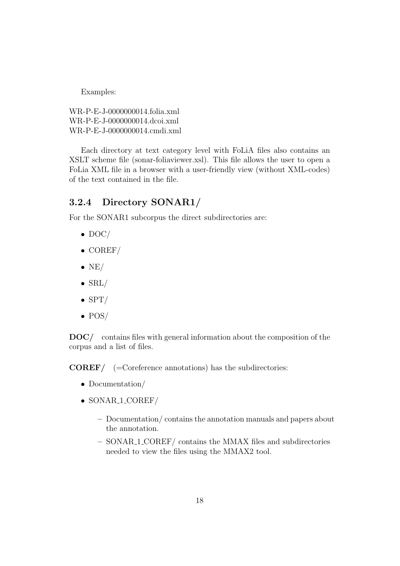Examples:

WR-P-E-J-0000000014.folia.xml WR-P-E-J-0000000014.dcoi.xml WR-P-E-J-0000000014.cmdi.xml

Each directory at text category level with FoLiA files also contains an XSLT scheme file (sonar-foliaviewer.xsl). This file allows the user to open a FoLia XML file in a browser with a user-friendly view (without XML-codes) of the text contained in the file.

### <span id="page-18-0"></span>3.2.4 Directory SONAR1/

For the SONAR1 subcorpus the direct subdirectories are:

- DOC/
- COREF/
- $\bullet$  NE/
- $\bullet$  SRL/
- $\bullet$  SPT/
- POS/

DOC/ contains files with general information about the composition of the corpus and a list of files.

 $\mathbf{COREF}/\quad$  (=Coreference annotations) has the subdirectories:

- Documentation/
- SONAR<sub>-1</sub>\_COREF/
	- Documentation/ contains the annotation manuals and papers about the annotation.
	- SONAR 1 COREF/ contains the MMAX files and subdirectories needed to view the files using the MMAX2 tool.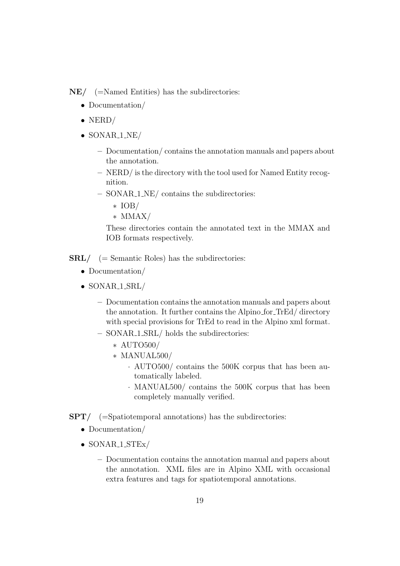$NE/$  (=Named Entities) has the subdirectories:

- Documentation/
- $\bullet$  NERD/
- $\bullet$  SONAR<sub>1</sub>NE/
	- Documentation/ contains the annotation manuals and papers about the annotation.
	- NERD/ is the directory with the tool used for Named Entity recognition.
	- SONAR 1 NE/ contains the subdirectories:
		- ∗ IOB/
		- ∗ MMAX/

These directories contain the annotated text in the MMAX and IOB formats respectively.

 $SRL/$  (= Semantic Roles) has the subdirectories:

- Documentation/
- $\bullet$  SONAR<sub>-1-SRL</sub>/
	- Documentation contains the annotation manuals and papers about the annotation. It further contains the Alpino for TrEd/ directory with special provisions for TrEd to read in the Alpino xml format.
	- SONAR 1 SRL/ holds the subdirectories:
		- ∗ AUTO500/
		- ∗ MANUAL500/
			- · AUTO500/ contains the 500K corpus that has been automatically labeled.
			- · MANUAL500/ contains the 500K corpus that has been completely manually verified.

SPT/ (=Spatiotemporal annotations) has the subdirectories:

- Documentation/
- $\bullet$  SONAR<sub>1</sub>STE<sub>x</sub>/
	- Documentation contains the annotation manual and papers about the annotation. XML files are in Alpino XML with occasional extra features and tags for spatiotemporal annotations.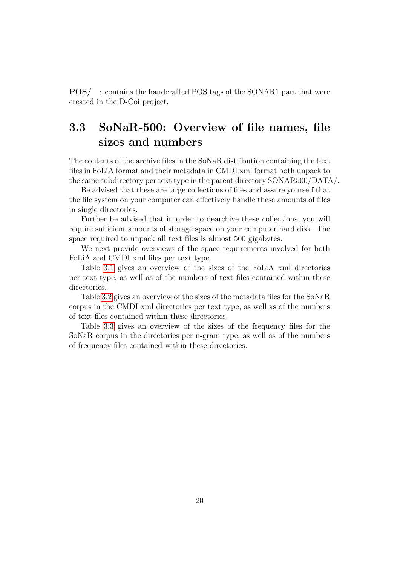POS/ : contains the handcrafted POS tags of the SONAR1 part that were created in the D-Coi project.

## <span id="page-20-0"></span>3.3 SoNaR-500: Overview of file names, file sizes and numbers

The contents of the archive files in the SoNaR distribution containing the text files in FoLiA format and their metadata in CMDI xml format both unpack to the same subdirectory per text type in the parent directory SONAR500/DATA/.

Be advised that these are large collections of files and assure yourself that the file system on your computer can effectively handle these amounts of files in single directories.

Further be advised that in order to dearchive these collections, you will require sufficient amounts of storage space on your computer hard disk. The space required to unpack all text files is almost 500 gigabytes.

We next provide overviews of the space requirements involved for both FoLiA and CMDI xml files per text type.

Table [3.1](#page-21-0) gives an overview of the sizes of the FoLiA xml directories per text type, as well as of the numbers of text files contained within these directories.

Table [3.2](#page-22-0) gives an overview of the sizes of the metadata files for the SoNaR corpus in the CMDI xml directories per text type, as well as of the numbers of text files contained within these directories.

Table [3.3](#page-23-0) gives an overview of the sizes of the frequency files for the SoNaR corpus in the directories per n-gram type, as well as of the numbers of frequency files contained within these directories.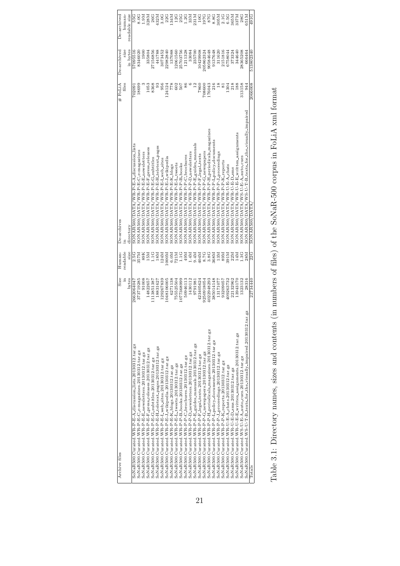<span id="page-21-0"></span>

| Archive files                                                              | Size       | Human-           | De-archives                                            | # FoLiA | De-archived | De-archived          |
|----------------------------------------------------------------------------|------------|------------------|--------------------------------------------------------|---------|-------------|----------------------|
|                                                                            |            | readable         |                                                        | files   | size        | human-               |
|                                                                            | bytes      | size             | directory                                              |         | in bytes    | readable size        |
| SoNaR500. Curated. WR-P-E-A-discussion_lists. 20130312.tar.gz              | 266206404' | 2.5G             | SONAR500/DATA/WR-P-E-A-discussion_lists                | 70209   | 57095516    | 55 G                 |
| SoNaR500.Curated.WR-P-E-C_e-magazines.20130312.tar.gz                      | 373719285  | 357M             | SONAR500/DATA/WR-P-E-C-e-magazines                     | 18699   | 8346020     | 8.0G                 |
| SoNaR500. Curated. WR-P-E-E-newsletters. $20130312$ .tar.gz                | 91008      | 89K              | SONAR500/DATA/WR-P-E-E-newsletters                     |         | 1900        | 1.9M                 |
| SoNaR500. Curated. WR-P-E-F-press_releases. 20130312.tar.gz                | 14822657   | L5M              | SONAR500/DATA/WR-P-E-F-press_releases                  | 1053    | 335804      | \$28M                |
| $SoNaR500.Curated.WR-P-E-Gsubtiles. 20130312.tar. gza$                     | 113851387  | $\frac{G}{1}$    | SONAR500/DATA/WR-P-E-G_subtitles                       | 8368    | 27156856    | 26G                  |
| SoNaR500.Curated.WR-P-E-H_teletext_pages.20130312.tar.gz                   | 18831627   | 18M              | SONAR500/DATA/WR-P-E-H_teletext_pages                  | 3       | 441788      | 132 <sub>M</sub>     |
| SoNaR500.Curated.WR-P-E-I_web_sites.20130312.tar.gz                        | 129267839  | 124M             | SONAR500/DATA/WR-P-E-I_web_sites                       | 956     | 3073452     | 3.0G                 |
| SoNaR500. Curated. WR-P-E-J-wikipedia. 20130312.tar.gz                     | 048106005  | N000             | SONAR500/DATA/WR-P-E-J-wikipedia                       | 124124  | 22982840    | 22G                  |
| SoNaR500.Curated.WR-P-E-K_blogs.20130312.tar.gz                            | 6271138    | 6.0M             | SONAR500/DATA/WR-P-E-K-blogs                           | 778     | 137088      | 134M                 |
| SoNaR500. Curated. WR-P-E-L-tweets. 20130312.tar.gz                        | 755525504  | 721 <sub>M</sub> | SONAR500/DATA/WR-P-E-L.tweets                          | 602     | 2061560     | 12G                  |
| SoNaR500.Curated.WR-P-P-B-books.20130312.tar.gz                            | 077368999  | 1.1G             | SONAR500/DATA/WR-P-P-B-books                           | 507     | 25703756    | 25 <sub>G</sub>      |
| SoNaR500.Curated.WR-P-P-C_brochures.20130312.tar.gz                        | 50946113   | $_{49M}$         | SONAR500/DATA/WR-P-P-C_brochures                       | 86      | 1211328     | 1.2G                 |
| SoNaR500. Curated. WR-P-P-D_newsletters. 20130312.tar.gz                   | 1430112    | 1.4M             | SONAR500/DATA/WR-P-P-D_newsletters                     |         | 33084       | 33M                  |
| SoNaR500. Curated. WR-P-P-E-guides_manuals. 20130312.tar.gz                | 979198     | 9.4M             | SONAR500/DATA/WR-P-P-E-guides_manuals                  |         | 235700      | 231M                 |
| SoNaR500.Curated.WR-P-P-Flegal_texts.20130312.tar.gz                       | 423405624  | 404M             | SONAR500/DATA/WR-P-P-F-legal-texts                     | 7860    | 10429908    |                      |
| SoNaR500. Curated. WR-P-P-G-newspapers. 20130312.tar.gz                    | 9250918054 | 8.7G             | SONAR500/DATA/WR-P-P-G-newspapers                      | 708600  | 205862324   | 52.8<br>52.6T<br>50T |
| SoNaR500. Curated. WR-P-P-H_periodicals_magazines.20130312.tar.gz          | 022948293  | 3.8G             | SONAR500/DATA/WR-P-P-H_periodicals_magazines           | 176043  | 90584648    |                      |
| SoNaR500. Curated. WR-P-P-I-policy-documents. 20130312.tar.gz              | 385014148  | 368M             | SONAR500/DATA/WR-P-P-I-policy-documents                | 216     | 9137648     | 8.8G                 |
| SoNaR500.Curated.WR-P-P-J-proceedings.20130312.tar.gz                      | 13171077   | 13M              | SONAR500/DATA/WR-P-P-J-proceedings                     |         | 311620      | 305M                 |
| SoNaR500.Curated.WR-P-P-K_reports.20130312.tar.gz                          | 93209057   | $^{188}$         | SONAR500/DATA/WR-P-P-K_reports                         | ≅       | 2151816     | $2.1G$<br>6.5G       |
| SoNaR500. Curated. WR-U-E-A_chats. 20130312.tar.gz                         | 09263732   | 891M             | SONAR500/DATA/WR-U-E-A-chats                           | 1304    | 6758044     |                      |
| SoNaR500. Curated. WR-U-E-D_sms. 20130312.tar.gz                           | 22132962   | 22M              | SONAR500/DATA/WR-U-E-D_sms                             | 218     | 373324      | 365M                 |
| SoNaR500. Curated.WR-U-E-E_written_assignments.20130312.tar.gz             | 3943170    | 14M              | SONAR500/DATA/WR-U-E-E-written_assignments             | 188     | 344640      | 337 <sub>M</sub>     |
| SoNaR500.Curated.WS-U-E-A_auto_cues.20130312.tar.gz                        | 1323132    | $\frac{3}{3}$    | SONAR500/DATA/WS-U-E-A-auto-cues                       | 313158  | 28365208    | 28G                  |
| SoNaR500. Curated.WS-U-T-B_texts_for_the_visually_impaired.20130312.tar.gz | 28316      | 28M              | SONAR500/DATA/WS-U-T-B_texts_for_the_visually_impaired | 944     | 666464      | 351M                 |
| Totals                                                                     | 22734440   | 22G              | SONAR500/DATA                                          | 2066008 | 513802340   | 491G                 |
|                                                                            |            |                  |                                                        |         |             |                      |

| $\ddot{\cdot}$ = $\ddot{\cdot}$                                                                                                                                                                                                |  |
|--------------------------------------------------------------------------------------------------------------------------------------------------------------------------------------------------------------------------------|--|
| NICH CLU                                                                                                                                                                                                                       |  |
|                                                                                                                                                                                                                                |  |
|                                                                                                                                                                                                                                |  |
| I                                                                                                                                                                                                                              |  |
| ∿ CVIV ZUU V                                                                                                                                                                                                                   |  |
|                                                                                                                                                                                                                                |  |
|                                                                                                                                                                                                                                |  |
|                                                                                                                                                                                                                                |  |
|                                                                                                                                                                                                                                |  |
|                                                                                                                                                                                                                                |  |
|                                                                                                                                                                                                                                |  |
| A STRAIGHT AND A THREE TO A THE CHANNEL TO A THE CONTROL OF A STRAIGHT AND A STRAIGHT AND A STRAIGHT AND A STR                                                                                                                 |  |
|                                                                                                                                                                                                                                |  |
| At the company control in the company of the company of the company of the company of the company of the company of the company of the company of the company of the company of the company of the company of the company of t |  |
| ֧֧֧֧֧֧֧֧֧֧֧֧֧֧֧֧֧֧֧֧֧֛֧֛֛֚֚֚֚֚֚֚֚֚֚֚֚֚֚֚֚֚֚֚֚֚֚֚֚֚֚֚֚֚֚֚֚֝֝֓֝֓֝֬֝֓֝֬֝֬֝֓֝֬֝֬֝֬֝֬֝֬֝֬֝֬֝֬֜<br>֧֧֧֧֧֛֧֧֧֧֧֧֧֛֪֧֛֚֚֚֝֩֜֩֝֩֜֜                                                                                                      |  |
|                                                                                                                                                                                                                                |  |
|                                                                                                                                                                                                                                |  |
|                                                                                                                                                                                                                                |  |
|                                                                                                                                                                                                                                |  |
|                                                                                                                                                                                                                                |  |
| <b>Service - 2011-2012</b>                                                                                                                                                                                                     |  |
|                                                                                                                                                                                                                                |  |
|                                                                                                                                                                                                                                |  |
|                                                                                                                                                                                                                                |  |
| .<br>[                                                                                                                                                                                                                         |  |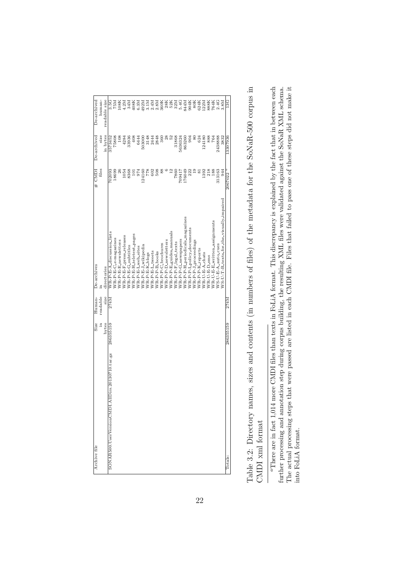| Archive file                                         | Size         | Human-           | De-archives                              | H CMDI                 | De-archived     | De-archived   |
|------------------------------------------------------|--------------|------------------|------------------------------------------|------------------------|-----------------|---------------|
|                                                      | $\mathbf{u}$ | readable         | Ē                                        | files                  | size            | human-        |
|                                                      | bytes        | size             | directories                              |                        | in bytes        | readable size |
| SONAR500. UserVersion CMDI. AllDirs. 20130710.tar.gz | 286355159    | 274M             | WR-P-E-A <sub>-</sub> discussion-lists   | 702093                 | 3573452         | 3.5G          |
|                                                      |              |                  | WR-P-E-C-e-magazines                     | 18699                  | 75808           | <b>NSZ</b>    |
|                                                      |              |                  | WR-P-E-E-mewsletters                     | $^{26}$                | 108             | 108K          |
|                                                      |              |                  | WR-P-E-F-press_releases                  | 1054                   | 4284            | 4.2M          |
|                                                      |              |                  | WR-P-E-G_subtitles                       | 8368                   | 33936           | 34M           |
|                                                      |              |                  | WR-P-E-H_teletext_pages                  | $\Xi$                  | 408             | 408K          |
|                                                      |              |                  | WR-P-E-I-web-sites                       | 974                    | 6444            | 6.3M          |
|                                                      |              |                  | WR-P-E-J-wikipedia                       | .2416C                 | 503000          | 492M          |
|                                                      |              |                  | WR-P-E-K-blogs                           | 778                    | 3148            | 3.1M          |
|                                                      |              |                  | WR-P-E-L_tweets                          | 602                    | 2444            | 2.4M          |
|                                                      |              |                  | WR-P-P-B-books                           | 508                    | 2848            | 2.8M          |
|                                                      |              |                  | WR-P-P-C-brochures                       | 88                     | $\frac{360}{5}$ | 360K          |
|                                                      |              |                  | WR-P-P-D_newsletters                     |                        | 28              | 28K           |
|                                                      |              |                  | WR-P-P-E-guides_manuals                  | 12                     |                 | 52K           |
|                                                      |              |                  | WR-P-P-F-legal-texts                     | 7860                   | 31868           | 32M           |
|                                                      |              |                  | WR-P-P-G-newspapers                      | 709417                 | 5636324         | 5.4G          |
|                                                      |              |                  | WR-P-H-periodicals-magazines             | 176049                 | 863260          | 844M          |
|                                                      |              |                  | WR-P-P-L-policy_documents                | 222                    | 904             | 904K          |
|                                                      |              |                  | WR-P-P-J-proceedings                     |                        | $\frac{8}{3}$   | 80K           |
|                                                      |              |                  | WR-P-P-K_reports                         | $\approx$              | 624             | 624K          |
|                                                      |              |                  | WR-U-E-A_chats                           | 1392                   | 124180          | 122M          |
|                                                      |              |                  | WR-U-E-D <sub>-</sub> sms                | 218                    | 888             | 888K          |
|                                                      |              |                  | WR-U-E-E-written_assignments             | 188                    | 764             | 764K          |
|                                                      |              |                  | WS-U-E-A <sub>-auto-cues</sub>           | 313163                 | 2438888         | 2.4G          |
|                                                      |              |                  | WS-U-T-B texts for the visually impaired | 944                    | 3832            | 3.8M          |
| Totals:                                              | 286355159    | 274 <sub>N</sub> |                                          | $2067022$ <sup>a</sup> | 13307936        | 13G           |
|                                                      |              |                  |                                          |                        |                 |               |

<span id="page-22-0"></span>Table 3.2: Directory names, sizes and contents (in numbers of files) of the metadata for the SoNaR-500 corpus in Table 3.2: Directory names, sizes and contents (in numbers of files) of the metadata for the SoNaR-500 corpus in CMDI xml format CMDI xml format

The actual processing steps that were passed are listed in each CMDI file. Files that failed to pass one of these steps did not make it "There are in fact 1,014 more CMDI files than texts in FoLiA format. This discrepancy is explained by the fact that in between each further processing and annotation step during corpus building, the resulting XML files were validated against the SoNaR XML schema. The actual processing steps that were passed are listed in each CMDI file. Files that failed to pass one of these steps did not make it aThere are in fact 1,014 more CMDI files than texts in FoLiA format. This discrepancy is explained by the fact that in between each further processing and annotation step during corpus building, the resulting XML files were validated against the SoNaR XML schema. into FoLiA format. into FoLiA format.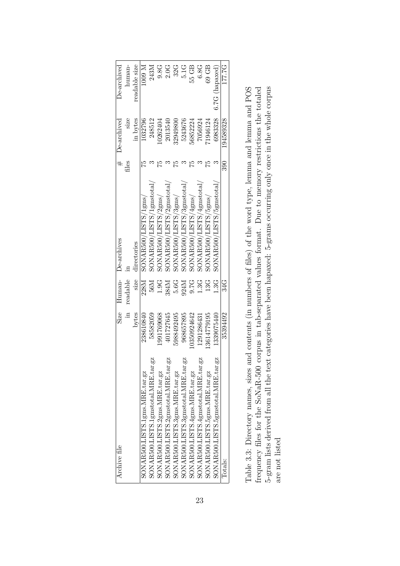<span id="page-23-0"></span>

| Archive file                                                                     | Size<br>   | Human-          | De-archives                                                                                      |      | De-archived | )e-archived      |
|----------------------------------------------------------------------------------|------------|-----------------|--------------------------------------------------------------------------------------------------|------|-------------|------------------|
|                                                                                  | $\Xi$      | readable        |                                                                                                  | iles | size        | human-           |
|                                                                                  | bytes      | size            | directories                                                                                      |      | in bytes    | readable size    |
| SONAR500.LISTS.1gms.MRE.tar.gz                                                   | 238610840  | 228M            | $\mathrm{SONARS00/LISTS/1gms}$                                                                   |      | 1032796     | 1009 M           |
| $\mathrm{SONARS00.LISTS.1gms}$ total. $\mathrm{MRE.tar.}$ gz                     | 58582059   | M92             | SONAR500/LISTS/1gmstotal                                                                         |      | 248512      | 243M             |
| SONAR500.LISTS.2gms.MRE.tar.gz                                                   | 1991769068 | $1.9\mathrm{G}$ | SONAR500/LISTS/2gms/                                                                             |      | 0262404     | 9.8G             |
| $\mathrm{SONARS00.LISTS.2gms}$ tal. $\mathrm{MRE.tar.}$ gz                       | 401727645  | 384M            | $\mathrm{SONA} \mathrm{R}500 / \mathrm{LIS} \mathrm{TS}/2 \mathrm{g} \mathrm{m} \mathrm{stotal}$ |      | 2013540     | 2.0G             |
| SONAR500.LISTS.3gms.MRE.tar.gz                                                   | 5988492495 | 5.6G            | SONAR500/LISTS/3gms/                                                                             |      | 32949800    | 32G              |
| $\mathrm{SONARS00.LISTS.3gms}$ total. $\mathrm{MRE.tar.}$ $\mathrm{g}\mathrm{z}$ | 968657895  | 924M            | SONAR500/LISTS/3gmstotal                                                                         |      | 5243676     | 5.1G             |
| SONAR500.LISTS.4gms.MRE.tar.gz                                                   | 0350924642 | 9.7G            | SONAR500/LISTS/4gms/                                                                             |      | 56852224    | 55 GB            |
| $\mathrm{SONARS00.LISTS}.4\mathrm{gms}$ total. $\mathrm{MRE.tar}.g\mathrm{z}$    | 1291286431 | 13G             | SONAR500/LISTS/4gmstotal                                                                         |      | 7056924     | 6.8G             |
| SONAR500.LISTS.5gms.MRE.tar.gz                                                   | 3614779195 | 13G             | SONAR500/LISTS/5gms/                                                                             | 5Z   | 71946124    | 69 GB            |
| $\mathrm{SONARS00.LISTS.5gms}$ tal. $\mathrm{MRE.tar.gz}$                        | 1339075440 | 3G              | SONAR500/LISTS/5gmstotal                                                                         |      | 6983328     | $6.7G$ (hapaxed) |
| Iotals:                                                                          | 35394492   | 34G             |                                                                                                  | 390  | .94589328   | 77.TG            |
|                                                                                  |            |                 |                                                                                                  |      |             |                  |

| requency files for the SoNaR-500 corpus in tab-separated values format. Due to memory restrictions the totaled<br>Table 3.3: Directory names, sizes and contents (in numbers of files) of the word type, lemma and lemma and POS |
|----------------------------------------------------------------------------------------------------------------------------------------------------------------------------------------------------------------------------------|
| the text categories have been hapaxed: 5-grams occurring only once in the whole corpus<br>5-gram lists derived from all                                                                                                          |
| are not listed                                                                                                                                                                                                                   |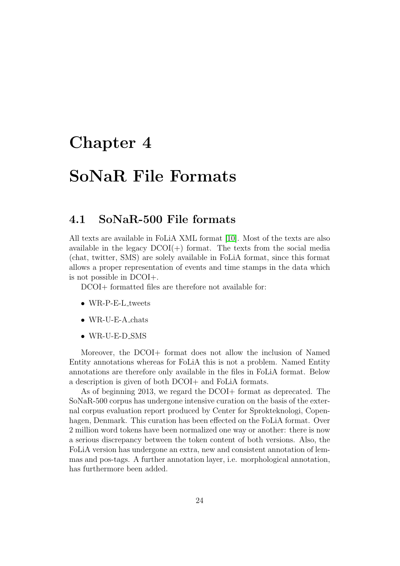## <span id="page-24-0"></span>Chapter 4

# SoNaR File Formats

## <span id="page-24-1"></span>4.1 SoNaR-500 File formats

All texts are available in FoLiA XML format [\[10\]](#page-62-6). Most of the texts are also available in the legacy  $DCOI(+)$  format. The texts from the social media (chat, twitter, SMS) are solely available in FoLiA format, since this format allows a proper representation of events and time stamps in the data which is not possible in DCOI+.

DCOI+ formatted files are therefore not available for:

- WR-P-E-L\_tweets
- WR-U-E-A chats
- WR-U-E-D SMS

Moreover, the DCOI+ format does not allow the inclusion of Named Entity annotations whereas for FoLiA this is not a problem. Named Entity annotations are therefore only available in the files in FoLiA format. Below a description is given of both DCOI+ and FoLiA formats.

As of beginning 2013, we regard the DCOI+ format as deprecated. The SoNaR-500 corpus has undergone intensive curation on the basis of the external corpus evaluation report produced by Center for Sprokteknologi, Copenhagen, Denmark. This curation has been effected on the FoLiA format. Over 2 million word tokens have been normalized one way or another: there is now a serious discrepancy between the token content of both versions. Also, the FoLiA version has undergone an extra, new and consistent annotation of lemmas and pos-tags. A further annotation layer, i.e. morphological annotation, has furthermore been added.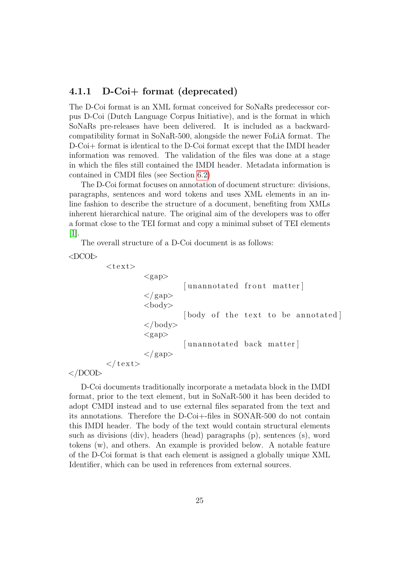### <span id="page-25-0"></span>4.1.1 D-Coi+ format (deprecated)

The D-Coi format is an XML format conceived for SoNaRs predecessor corpus D-Coi (Dutch Language Corpus Initiative), and is the format in which SoNaRs pre-releases have been delivered. It is included as a backwardcompatibility format in SoNaR-500, alongside the newer FoLiA format. The D-Coi+ format is identical to the D-Coi format except that the IMDI header information was removed. The validation of the files was done at a stage in which the files still contained the IMDI header. Metadata information is contained in CMDI files (see Section [6.2\)](#page-36-0)

The D-Coi format focuses on annotation of document structure: divisions, paragraphs, sentences and word tokens and uses XML elements in an inline fashion to describe the structure of a document, benefiting from XMLs inherent hierarchical nature. The original aim of the developers was to offer a format close to the TEI format and copy a minimal subset of TEI elements [\[1\]](#page-61-2).

The overall structure of a D-Coi document is as follows:

```
<DCOI>
```
 $<$ text $>$  $<$ gap $>$ [unannotated front matter]  $\langle$  gap $>$ <body> [body of the text to be annotated] </body>  $<$ gap $>$ [ unannotated back matter ]  $\langle$  gap $>$  $\langle t \rangle$  text

 $\langle$ DCOI $>$ 

D-Coi documents traditionally incorporate a metadata block in the IMDI format, prior to the text element, but in SoNaR-500 it has been decided to adopt CMDI instead and to use external files separated from the text and its annotations. Therefore the D-Coi+-files in SONAR-500 do not contain this IMDI header. The body of the text would contain structural elements such as divisions (div), headers (head) paragraphs (p), sentences (s), word tokens (w), and others. An example is provided below. A notable feature of the D-Coi format is that each element is assigned a globally unique XML Identifier, which can be used in references from external sources.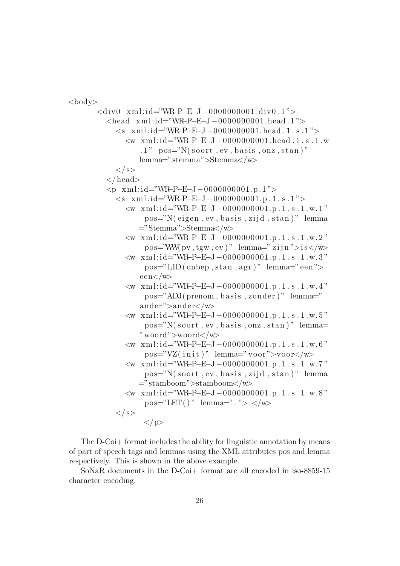$$ <div0 xml:id="WR-P-E-J-0000000001.div0.1"> <head xml:i d="WR−P−E−J−0000000001. head . 1 ">  $\leq$ s xml:id="WR-P-E-J-0000000001.head.1.s.1"> <w xml:i d="WR−P−E−J−0000000001. head . 1 . s . 1 . w  $1"$  pos="N(soort, ev, basis, onz, stan)" lemma="stemma">Stemma</w>  $\langle$  s>  $\langle$ head $\rangle$  $\langle p \ \ \mathrm{xml} : id = "WR-P-E-J-0000000001.p.1" \rangle$  $\langle$ s xml:id="WR-P-E-J-0000000001.p.1.s.1">  $\langle w \rangle$  xml:id="WR-P-E-J-0000000001.p.1.s.1.w.1" pos="N( eigen, ev, basis, zijd, stan)" lemma ="Stemma">Stemma</w> <w xml:i d="WR−P−E−J−0000000001.p . 1 . s . 1 . w. 2 "  $pos="W( pv, tgw, ev)$ " lemma=" $zijn$ "> $is$  $\langle w \rangle$  xml:id="WR-P-E-J-0000000001.p.1.s.1.w.3"  $pos="LID(onep, stan, agr)$ " lemma=" een">  $een$  $\langle w \rangle$  xml:id="WR-P-E-J-0000000001.p.1.s.1.w.4"  $pos="ADJ(prenom, basis, zonder)" lemma="$ ander ">ander</w>  $\langle w \rangle$  xml:id="WR-P-E-J-0000000001.p.1.s.1.w.5"  $pos="N(soort, ev, basis, onz, stan)"$  lemma= "woord">woord</w>  $\langle w \rangle$  xml:id="WR-P-E-J-0000000001.p.1.s.1.w.6"  $pos="VZ(intit)" lemma="voor">voor/<sub>w</sub>$  $\langle w \rangle$  xml:id="WR-P-E-J-0000000001.p.1.s.1.w.7" pos="N(soort, ev, basis, zijd, stan)" lemma ="stamboom">stamboom</w>  $\langle w \rangle$  xml:id="WR-P-E-J-0000000001.p.1.s.1.w.8"  $pos="LET()$ " lemma=".">.</w>  $\langle$  s>  $\langle p \rangle$ 

The D-Coi+ format includes the ability for linguistic annotation by means of part of speech tags and lemmas using the XML attributes pos and lemma respectively. This is shown in the above example.

SoNaR documents in the D-Coi+ format are all encoded in iso-8859-15 character encoding.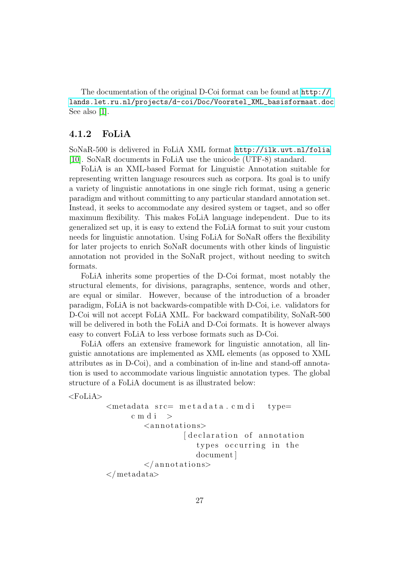The documentation of the original D-Coi format can be found at [http://](http://lands.let.ru.nl/projects/d-coi/Doc/Voorstel_XML_basisformaat.doc) [lands.let.ru.nl/projects/d-coi/Doc/Voorstel\\_XML\\_basisformaat.doc](http://lands.let.ru.nl/projects/d-coi/Doc/Voorstel_XML_basisformaat.doc) See also [\[1\]](#page-61-2).

### <span id="page-27-0"></span>4.1.2 FoLiA

SoNaR-500 is delivered in FoLiA XML format <http://ilk.uvt.nl/folia> [\[10\]](#page-62-6). SoNaR documents in FoLiA use the unicode (UTF-8) standard.

FoLiA is an XML-based Format for Linguistic Annotation suitable for representing written language resources such as corpora. Its goal is to unify a variety of linguistic annotations in one single rich format, using a generic paradigm and without committing to any particular standard annotation set. Instead, it seeks to accommodate any desired system or tagset, and so offer maximum flexibility. This makes FoLiA language independent. Due to its generalized set up, it is easy to extend the FoLiA format to suit your custom needs for linguistic annotation. Using FoLiA for SoNaR offers the flexibility for later projects to enrich SoNaR documents with other kinds of linguistic annotation not provided in the SoNaR project, without needing to switch formats.

FoLiA inherits some properties of the D-Coi format, most notably the structural elements, for divisions, paragraphs, sentence, words and other, are equal or similar. However, because of the introduction of a broader paradigm, FoLiA is not backwards-compatible with D-Coi, i.e. validators for D-Coi will not accept FoLiA XML. For backward compatibility, SoNaR-500 will be delivered in both the FoLiA and D-Coi formats. It is however always easy to convert FoLiA to less verbose formats such as D-Coi.

FoLiA offers an extensive framework for linguistic annotation, all linguistic annotations are implemented as XML elements (as opposed to XML attributes as in D-Coi), and a combination of in-line and stand-off annotation is used to accommodate various linguistic annotation types. The global structure of a FoLiA document is as illustrated below:

```
<FoLiA>
```

```
\leqmetadata src= metadata.cmdi type=
      c m d i \Rightarrow\langleannotations\rangledeclaration of annotation
                        types occurring in the
                        document ]
          \langle annotations>
\langle/metadata>
```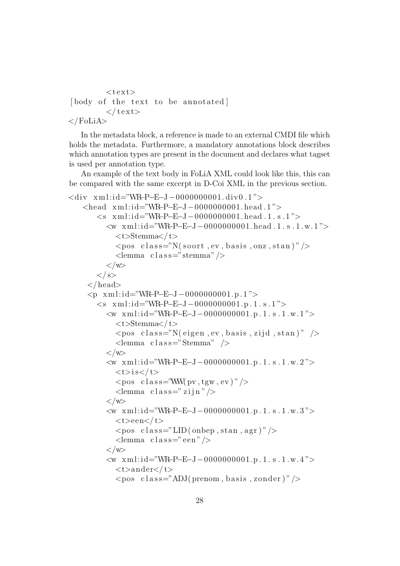```
<text>[body of the text to be annotated]
          \langle text\rangle\langleFoLiA>
```
In the metadata block, a reference is made to an external CMDI file which holds the metadata. Furthermore, a mandatory annotations block describes which annotation types are present in the document and declares what tagset is used per annotation type.

An example of the text body in FoLiA XML could look like this, this can be compared with the same excerpt in D-Coi XML in the previous section.

```
\langlediv xml:id="WR-P-E-J-000000001.div0.1">
    <head xml:i d="WR−P−E−J−0000000001. head . 1 ">
        \leqs xml:id="WR-P-E-J-0000000001.head.1.s.1">
           <w xml:i d="WR−P−E−J−0000000001. head . 1 . s . 1 . w. 1 ">
               \langle t \rangleStemma\langle t \rangle\langle \text{pos class} = \text{N}( soort, ev, basis, onz, stan )"/>
               \langlelemma class="stemma" \rangle\langle/w>\langle s>
      \langlehead\rangle<p xml:i d="WR−P−E−J−0000000001.p . 1 ">
        \langles xml:id="WR-P-E-J-0000000001.p.1.s.1">
           \langle w \rangle xml:id="WR-P-E-J-0000000001.p.1.s.1.w.1">
               lt >Stemmalt/t >
               \langle pos class="N( eigen, ev, basis, zijd, stan)" \langle >
               \leqlemma c l a s s = "Stemma" \geq\langle/w>\langle w \rangle xml:id="WR-P-E-J-0000000001.p.1.s.1.w.2">
               <\!\!t\!\!>\!\!i\!\!>\!\!i\!\!>\!\!<<pos class="WW( pv, tgw, ev )" />
               \langlelemma class="zijn" />
            \langle/w>\langle w \rangle xml:id="WR-P-E-J-000000001.p.1.s.1.w.3">
               lt > eenlt/t >
               \langle pos \text{ class} = "LID(\text{onbep}, \text{stan}, \text{agr})" \rangle\langlelemma class="een" />
           \langle/w>\langle w \rangle xml:id="WR-P-E-J-0000000001.p.1.s.1.w.4">
               \langle t \rangle ander \langle t \rangle\langle pos \text{ class} = "ADJ(prenom, basis, zonder) " \rangle
```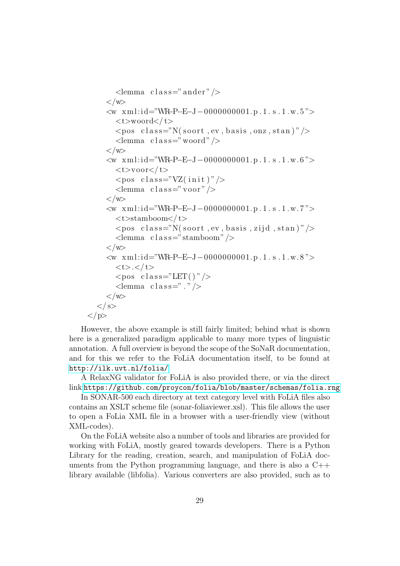```
\langlelemma class="ander" \rangle\langle/w>\langle w \rangle xml:id="WR-P-E-J-0000000001.p.1.s.1.w.5">
        <t>woord</ t>
        <pos class="N(soort, ev, basis, onz, stan)" />
        \langlelemma class="woord" \rangle\langle/w><w xml:i d="WR−P−E−J−0000000001.p . 1 . s . 1 . w. 6 ">
        \langle t \ranglevoor\langle t \rangle<pos class="VZ(init)"/>
        \langlelemma class="voor" \rangle\langle/w>\langle w \rangle xml:id="WR-P-E-J-0000000001.p.1.s.1.w.7">
        \langle t \ranglestamboom\langle t \rangle<pos class="N(soort, ev, basis, zijd, stan)"/>
        \langlelemma class="stamboom" \rangle\langle/w>\langle w \rangle xml:id="WR-P-E-J-0000000001.p.1.s.1.w.8">
        lt>>.lt/t><pos class="LET()"/>
        \langlelemma class="."/>
     \langle/w>
  \langle/s>
\langle p \rangle
```
However, the above example is still fairly limited; behind what is shown here is a generalized paradigm applicable to many more types of linguistic annotation. A full overview is beyond the scope of the SoNaR documentation, and for this we refer to the FoLiA documentation itself, to be found at <http://ilk.uvt.nl/folia/>

A RelaxNG validator for FoLiA is also provided there, or via the direct link <https://github.com/proycon/folia/blob/master/schemas/folia.rng>

In SONAR-500 each directory at text category level with FoLiA files also contains an XSLT scheme file (sonar-foliaviewer.xsl). This file allows the user to open a FoLia XML file in a browser with a user-friendly view (without XML-codes).

On the FoLiA website also a number of tools and libraries are provided for working with FoLiA, mostly geared towards developers. There is a Python Library for the reading, creation, search, and manipulation of FoLiA documents from the Python programming language, and there is also a C++ library available (libfolia). Various converters are also provided, such as to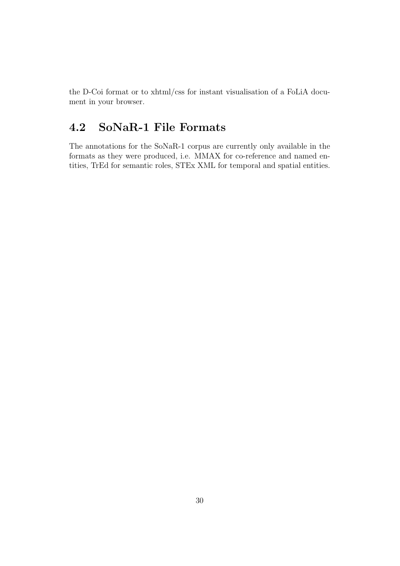the D-Coi format or to xhtml/css for instant visualisation of a FoLiA document in your browser.

## <span id="page-30-0"></span>4.2 SoNaR-1 File Formats

The annotations for the SoNaR-1 corpus are currently only available in the formats as they were produced, i.e. MMAX for co-reference and named entities, TrEd for semantic roles, STEx XML for temporal and spatial entities.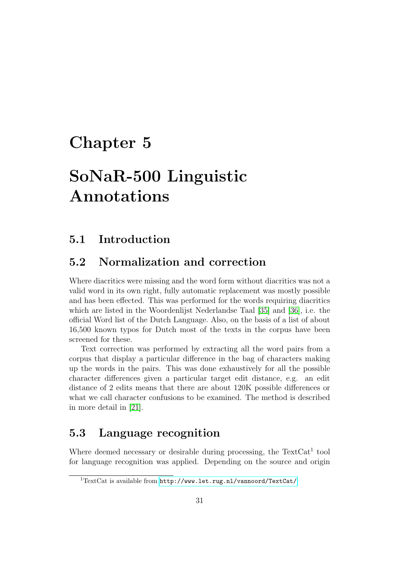# <span id="page-31-0"></span>Chapter 5

# SoNaR-500 Linguistic Annotations

## <span id="page-31-1"></span>5.1 Introduction

## <span id="page-31-2"></span>5.2 Normalization and correction

Where diacritics were missing and the word form without diacritics was not a valid word in its own right, fully automatic replacement was mostly possible and has been effected. This was performed for the words requiring diacritics which are listed in the Woordenlijst Nederlandse Taal [\[35\]](#page-64-3) and [\[36\]](#page-64-4), i.e. the official Word list of the Dutch Language. Also, on the basis of a list of about 16,500 known typos for Dutch most of the texts in the corpus have been screened for these.

Text correction was performed by extracting all the word pairs from a corpus that display a particular difference in the bag of characters making up the words in the pairs. This was done exhaustively for all the possible character differences given a particular target edit distance, e.g. an edit distance of 2 edits means that there are about 120K possible differences or what we call character confusions to be examined. The method is described in more detail in [\[21\]](#page-63-6).

## <span id="page-31-3"></span>5.3 Language recognition

Where deemed necessary or desirable during processing, the  $TextCat<sup>1</sup>$  tool for language recognition was applied. Depending on the source and origin

<sup>1</sup>TextCat is available from <http://www.let.rug.nl/vannoord/TextCat/>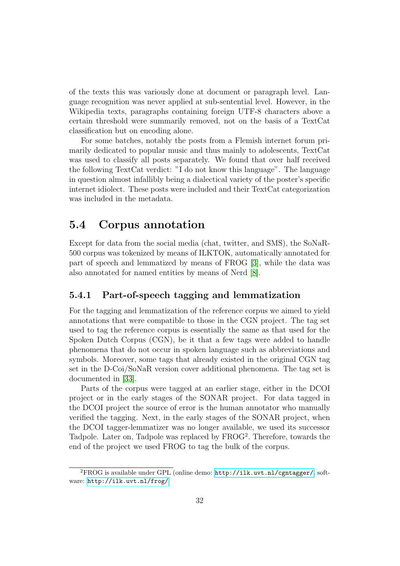of the texts this was variously done at document or paragraph level. Language recognition was never applied at sub-sentential level. However, in the Wikipedia texts, paragraphs containing foreign UTF-8 characters above a certain threshold were summarily removed, not on the basis of a TextCat classification but on encoding alone.

For some batches, notably the posts from a Flemish internet forum primarily dedicated to popular music and thus mainly to adolescents, TextCat was used to classify all posts separately. We found that over half received the following TextCat verdict: "I do not know this language". The language in question almost infallibly being a dialectical variety of the poster's specific internet idiolect. These posts were included and their TextCat categorization was included in the metadata.

## <span id="page-32-0"></span>5.4 Corpus annotation

Except for data from the social media (chat, twitter, and SMS), the SoNaR-500 corpus was tokenized by means of ILKTOK, automatically annotated for part of speech and lemmatized by means of FROG [\[3\]](#page-61-3), while the data was also annotated for named entities by means of Nerd [\[8\]](#page-62-7).

### <span id="page-32-1"></span>5.4.1 Part-of-speech tagging and lemmatization

For the tagging and lemmatization of the reference corpus we aimed to yield annotations that were compatible to those in the CGN project. The tag set used to tag the reference corpus is essentially the same as that used for the Spoken Dutch Corpus (CGN), be it that a few tags were added to handle phenomena that do not occur in spoken language such as abbreviations and symbols. Moreover, some tags that already existed in the original CGN tag set in the D-Coi/SoNaR version cover additional phenomena. The tag set is documented in [\[33\]](#page-64-5).

Parts of the corpus were tagged at an earlier stage, either in the DCOI project or in the early stages of the SONAR project. For data tagged in the DCOI project the source of error is the human annotator who manually verified the tagging. Next, in the early stages of the SONAR project, when the DCOI tagger-lemmatizer was no longer available, we used its successor Tadpole. Later on, Tadpole was replaced by FROG<sup>2</sup>. Therefore, towards the end of the project we used FROG to tag the bulk of the corpus.

<sup>2</sup>FROG is available under GPL (online demo: <http://ilk.uvt.nl/cgntagger/>, software: <http://ilk.uvt.nl/frog/>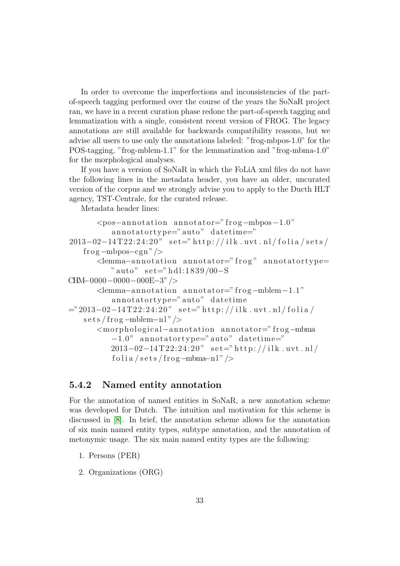In order to overcome the imperfections and inconsistencies of the partof-speech tagging performed over the course of the years the SoNaR project ran, we have in a recent curation phase redone the part-of-speech tagging and lemmatization with a single, consistent recent version of FROG. The legacy annotations are still available for backwards compatibility reasons, but we advise all users to use only the annotations labeled: "frog-mbpos-1.0" for the POS-tagging, "frog-mblem-1.1" for the lemmatization and "frog-mbma-1.0" for the morphological analyses.

If you have a version of SoNaR in which the FoLiA xml files do not have the following lines in the metadata header, you have an older, uncurated version of the corpus and we strongly advise you to apply to the Ducth HLT agency, TST-Centrale, for the curated release.

Metadata header lines:

<pos−a n no ta tio n a n no ta to r=" f rog−mbpos−1.0"  $\text{annotatortype} = \text{"auto"} \text{ datetime} = \text{"}$  $2013-02-14T22:24:20"$  set="http://ilk.uvt.nl/folia/sets/ frog—mbpos—cgn" $\geq$ <lemma−a n no ta tio n a n no ta to r=" f r o g " a n no ta to r t y p e= " auto" set=" hdl:1839/00-S  $CHM-0000-0000-000E-3"$ <lemma−a n no ta tio n a n no ta to r=" f rog−mblem−1.1" annotatortype="auto" datetime ="2013-02-14T22:24:20" set="http://ilk.uvt.nl/folia/  $sets / frog-mblem-nl"$ <mo r p hologi cal−a n no ta tio n a n no ta to r=" f rog−mbma  $-1.0$ " annotatortype="auto" datetime="  $2013-02-14T22:24:20"$  set="http://ilk.uvt.nl/  $f \cdot \text{olia}/\text{sets}/\text{frog}-\text{mbma}-\text{nl}''/>$ 

### <span id="page-33-0"></span>5.4.2 Named entity annotation

For the annotation of named entities in SoNaR, a new annotation scheme was developed for Dutch. The intuition and motivation for this scheme is discussed in [\[8\]](#page-62-7). In brief, the annotation scheme allows for the annotation of six main named entity types, subtype annotation, and the annotation of metonymic usage. The six main named entity types are the following:

- 1. Persons (PER)
- 2. Organizations (ORG)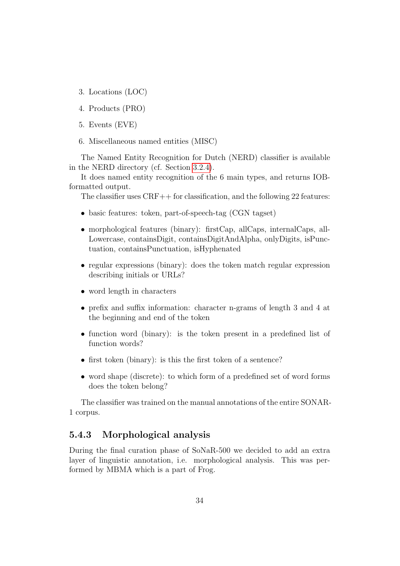- 3. Locations (LOC)
- 4. Products (PRO)
- 5. Events (EVE)
- 6. Miscellaneous named entities (MISC)

The Named Entity Recognition for Dutch (NERD) classifier is available in the NERD directory (cf. Section [3.2.4\)](#page-18-0).

It does named entity recognition of the 6 main types, and returns IOBformatted output.

The classifier uses CRF++ for classification, and the following 22 features:

- basic features: token, part-of-speech-tag (CGN tagset)
- morphological features (binary): firstCap, allCaps, internalCaps, all-Lowercase, containsDigit, containsDigitAndAlpha, onlyDigits, isPunctuation, containsPunctuation, isHyphenated
- regular expressions (binary): does the token match regular expression describing initials or URLs?
- word length in characters
- prefix and suffix information: character n-grams of length 3 and 4 at the beginning and end of the token
- function word (binary): is the token present in a predefined list of function words?
- first token (binary): is this the first token of a sentence?
- word shape (discrete): to which form of a predefined set of word forms does the token belong?

The classifier was trained on the manual annotations of the entire SONAR-1 corpus.

### <span id="page-34-0"></span>5.4.3 Morphological analysis

During the final curation phase of SoNaR-500 we decided to add an extra layer of linguistic annotation, i.e. morphological analysis. This was performed by MBMA which is a part of Frog.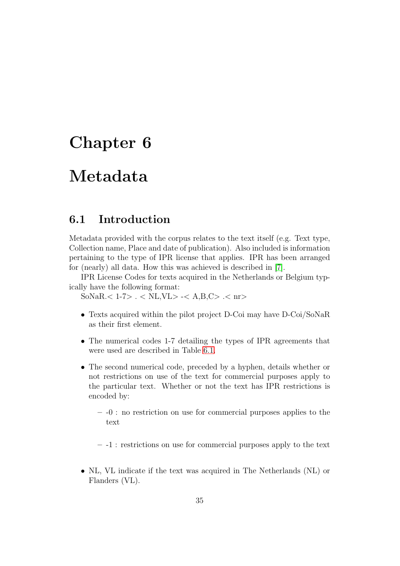# <span id="page-35-0"></span>Chapter 6

# Metadata

## <span id="page-35-1"></span>6.1 Introduction

Metadata provided with the corpus relates to the text itself (e.g. Text type, Collection name, Place and date of publication). Also included is information pertaining to the type of IPR license that applies. IPR has been arranged for (nearly) all data. How this was achieved is described in [\[7\]](#page-61-4).

IPR License Codes for texts acquired in the Netherlands or Belgium typically have the following format:

SoNaR. < 1-7> . < NL, VL> -< A, B, C> .< nr>

- Texts acquired within the pilot project D-Coi may have D-Coi/SoNaR as their first element.
- The numerical codes 1-7 detailing the types of IPR agreements that were used are described in Table [6.1.](#page-37-0)
- The second numerical code, preceded by a hyphen, details whether or not restrictions on use of the text for commercial purposes apply to the particular text. Whether or not the text has IPR restrictions is encoded by:
	- -0 : no restriction on use for commercial purposes applies to the text
	- -1 : restrictions on use for commercial purposes apply to the text
- NL, VL indicate if the text was acquired in The Netherlands (NL) or Flanders (VL).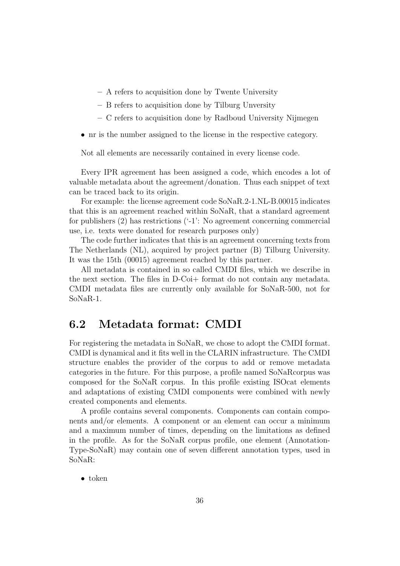- A refers to acquisition done by Twente University
- B refers to acquisition done by Tilburg Unversity
- C refers to acquisition done by Radboud University Nijmegen
- nr is the number assigned to the license in the respective category.

Not all elements are necessarily contained in every license code.

Every IPR agreement has been assigned a code, which encodes a lot of valuable metadata about the agreement/donation. Thus each snippet of text can be traced back to its origin.

For example: the license agreement code SoNaR.2-1.NL-B.00015 indicates that this is an agreement reached within SoNaR, that a standard agreement for publishers (2) has restrictions ('-1': No agreement concerning commercial use, i.e. texts were donated for research purposes only)

The code further indicates that this is an agreement concerning texts from The Netherlands (NL), acquired by project partner (B) Tilburg University. It was the 15th (00015) agreement reached by this partner.

All metadata is contained in so called CMDI files, which we describe in the next section. The files in D-Coi+ format do not contain any metadata. CMDI metadata files are currently only available for SoNaR-500, not for SoNaR-1.

## <span id="page-36-0"></span>6.2 Metadata format: CMDI

For registering the metadata in SoNaR, we chose to adopt the CMDI format. CMDI is dynamical and it fits well in the CLARIN infrastructure. The CMDI structure enables the provider of the corpus to add or remove metadata categories in the future. For this purpose, a profile named SoNaRcorpus was composed for the SoNaR corpus. In this profile existing ISOcat elements and adaptations of existing CMDI components were combined with newly created components and elements.

A profile contains several components. Components can contain components and/or elements. A component or an element can occur a minimum and a maximum number of times, depending on the limitations as defined in the profile. As for the SoNaR corpus profile, one element (Annotation-Type-SoNaR) may contain one of seven different annotation types, used in SoNaR:

• token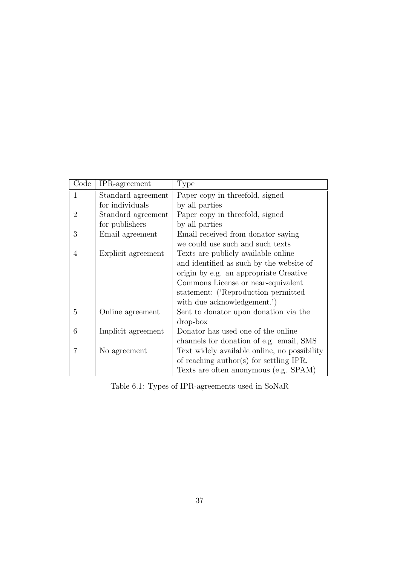| $\rm Code$     | IPR-agreement      | <b>Type</b>                                  |
|----------------|--------------------|----------------------------------------------|
| $\mathbf{1}$   | Standard agreement | Paper copy in threefold, signed              |
|                | for individuals    | by all parties                               |
| $\overline{2}$ | Standard agreement | Paper copy in threefold, signed              |
|                | for publishers     | by all parties                               |
| 3              | Email agreement    | Email received from donator saying           |
|                |                    | we could use such and such texts             |
| 4              | Explicit agreement | Texts are publicly available online          |
|                |                    | and identified as such by the website of     |
|                |                    | origin by e.g. an appropriate Creative       |
|                |                    | Commons License or near-equivalent           |
|                |                    | statement: ('Reproduction permitted          |
|                |                    | with due acknowledgement.')                  |
| 5              | Online agreement   | Sent to donator upon donation via the        |
|                |                    | drop-box                                     |
| 6              | Implicit agreement | Donator has used one of the online           |
|                |                    | channels for donation of e.g. email, SMS     |
|                | No agreement       | Text widely available online, no possibility |
|                |                    | of reaching author(s) for settling IPR.      |
|                |                    | Texts are often anonymous (e.g. SPAM)        |

<span id="page-37-0"></span>Table 6.1: Types of IPR-agreements used in SoNaR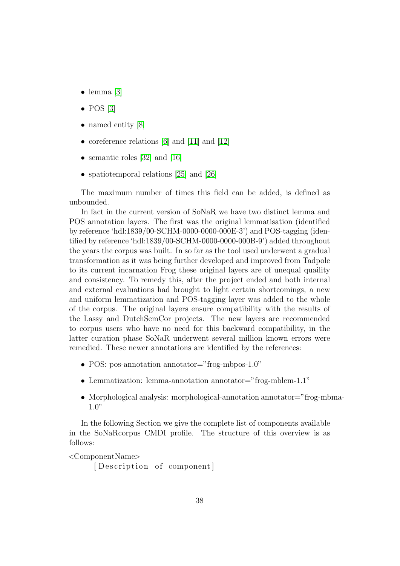- lemma  $[3]$
- $\bullet$  POS [\[3\]](#page-61-3)
- named entity [\[8\]](#page-62-7)
- coreference relations [\[6\]](#page-61-5) and [\[11\]](#page-62-4) and [\[12\]](#page-62-3)
- semantic roles [\[32\]](#page-64-6) and [\[16\]](#page-62-8)
- spatiotemporal relations [\[25\]](#page-63-3) and [\[26\]](#page-63-4)

The maximum number of times this field can be added, is defined as unbounded.

In fact in the current version of SoNaR we have two distinct lemma and POS annotation layers. The first was the original lemmatisation (identified by reference 'hdl:1839/00-SCHM-0000-0000-000E-3') and POS-tagging (identified by reference 'hdl:1839/00-SCHM-0000-0000-000B-9') added throughout the years the corpus was built. In so far as the tool used underwent a gradual transformation as it was being further developed and improved from Tadpole to its current incarnation Frog these original layers are of unequal quaility and consistency. To remedy this, after the project ended and both internal and external evaluations had brought to light certain shortcomings, a new and uniform lemmatization and POS-tagging layer was added to the whole of the corpus. The original layers ensure compatibility with the results of the Lassy and DutchSemCor projects. The new layers are recommended to corpus users who have no need for this backward compatibility, in the latter curation phase SoNaR underwent several million known errors were remedied. These newer annotations are identified by the references:

- POS: pos-annotation annotator="frog-mbpos-1.0"
- Lemmatization: lemma-annotation annotator="frog-mblem-1.1"
- Morphological analysis: morphological-annotation annotator="frog-mbma- $1.0"$

In the following Section we give the complete list of components available in the SoNaRcorpus CMDI profile. The structure of this overview is as follows:

<ComponentName>

[Description of component]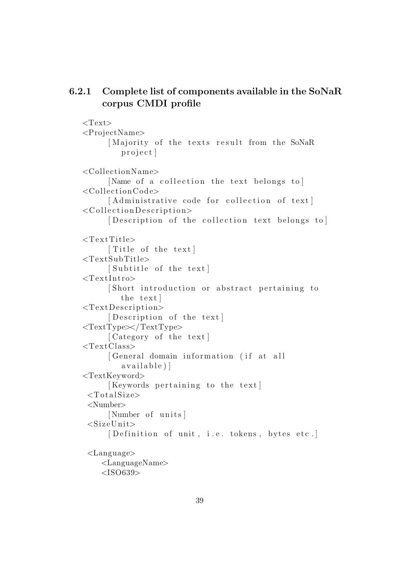## <span id="page-39-0"></span>6.2.1 Complete list of components available in the SoNaR corpus CMDI profile

 $<$ Text $>$ <ProjectName> [Majority of the texts result from the SoNaR p r oj e c t ]  $\langle$ CollectionName> [Name of a collection the text belongs to]  $\langle$ CollectionCode> [Administrative code for collection of text]  $<$ Collection Description > [Description of the collection text belongs to]  $<$ Text Title $>$  $\lceil$  Title of the text  $\rceil$  $<$ TextSubTitle> [Subtitle of the text]  $<$ TextIntro $>$ [Short introduction or abstract pertaining to the text]  $<$ TextDescription> [Description of the text]  $<$ TextType $>$ /TextType $>$  $[Category of the text]$  $<$ TextClass> [ General domain information (if at all  $a validable$ ] <TextKeyword> [Keywords pertaining to the text]  $<$ TotalSize> <Number> [Number of units]  $\langle$ SizeUnit $\rangle$ [Definition of unit, i.e. tokens, bytes etc.] <Language> <LanguageName>  $<$ ISO639>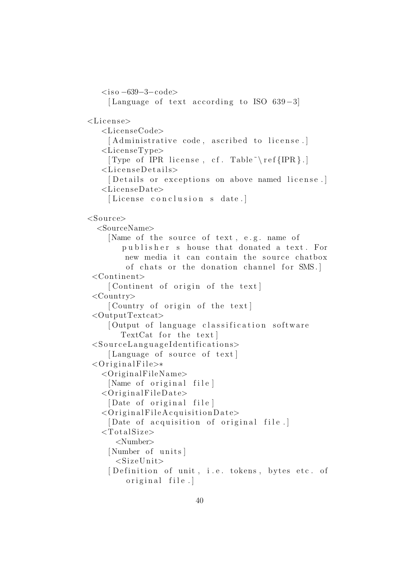```
\langleiso -639 - 3 - \text{code}[Language of text according to ISO 639-3]
<License><Licen seCode>
    [Administrative code, ascribed to license.]
   <LicenseType>
     [Type of IPR license, cf. Table~\ref{IPR}.]
   \langleLicenseDetails>
    [Details or exceptions on above named license.]
   <LicenseDate>
    [License conclusion s date.]
<Source><SourceName>
    [Name of the source of text, e.g. name of
        publisher s house that donated a text. For
        new media it can contain the source chatbox
        of chats or the donation channel for SMS.
 \langleContinent\rangle[ Continent of origin of the text]
 \langleCountry\rangle[Country of origin of the text]
 \langleOutputTextcat>[ Output of language classification software
       TextCat for the text]
 \leqSourceLanguageIdentifications>
    [Language of source of text]
 <Original File>*
   \langleOriginalFileName>[Name of original file]
   \langleOriginalFileDate>
    [Date of original file]<OriginalFileAcquisitionDate>
    [Date of acquisition of original file.]
   <TotalSize>
      <Number>
    [Number of units]
      <SizeUnit>[Definition of unit, i.e. tokens, bytes etc. of
         original file.
```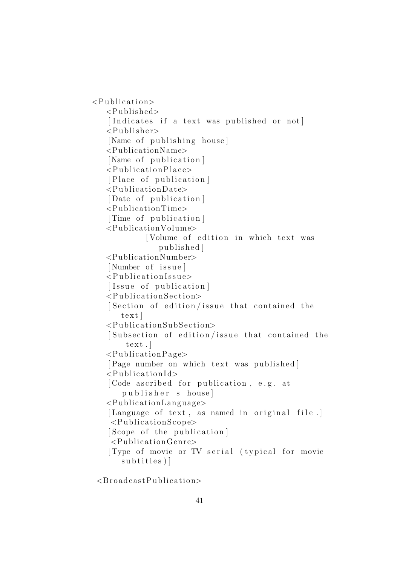$\langle$ Publication $\rangle$  $\langle$ Published $\rangle$ [Indicates if a text was published or not]  $<$ Publisher> [Name of publishing house] <PublicationName> [Name of publication]  $\langle$ PublicationPlace> [ Place of publication]  $\langle$ PublicationDate> [Date of publication]  $\langle$ PublicationTime $\rangle$ [Time of publication]  $\langle$ PublicationVolume $\rangle$ [Volume of edition in which text was published ] <PublicationNumber> [Number of issue]  $\langle$ PublicationIssue> [Issue of publication]  $\langle$ PublicationSection $>$ [Section of edition/issue that contained the t e x t ]  $\langle$ PublicationSubSection> [Subsection of edition/issue that contained the  $text.$  $\langle$ PublicationPage> [Page number on which text was published]  $\langle$ PublicationId $\rangle$ [Code ascribed for publication, e.g. at publisher s house]  $\langle$ PublicationLanguage $\rangle$ [Language of text, as named in original file.]  $\langle$ PublicationScope $\rangle$ [Scope of the publication]  $\langle$ PublicationGenre> [Type of movie or TV serial (typical for movie  $subtitle$ )]

 $\langle$ BroadcastPublication>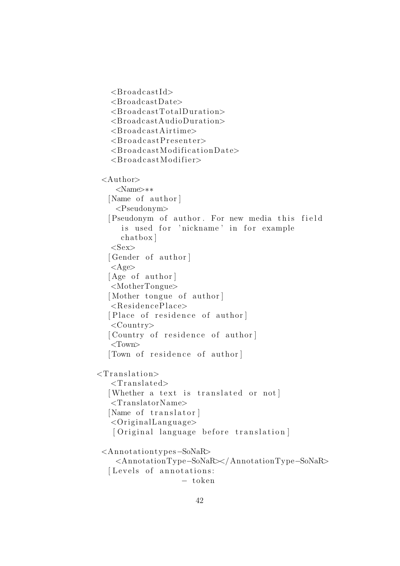$<$ BroadcastId $>$ <BroadcastDate>  $\langle$ BroadcastTotalDuration>  $\langle$ BroadcastAudioDuration>  $\langle$ BroadcastAirtime $\rangle$  $\langle$ BroadcastPresenter>  $\langle$ BroadcastModificationDate>  $\langle$ BroadcastModifier>  $\langle$ Author $\rangle$ <Name>∗∗ [Name of author] <Pseudonym> [ Pseudonym of author. For new media this field is used for 'nickname' in for example chatbox ]  $<$ Sex $>$ [Gender of author]  $\langle$ Age $>$ [Age of author] <MotherTongue> [Mother tongue of author]  $<$ ResidencePlace> [ Place of residence of author]  $\langle$ Country $\rangle$ [ Country of residence of author] <Town> [ Town of residence of author]  $\langle$ Translation $\rangle$  $<$ Translated> [Whether a text is translated or not]  $\langle$ TranslatorName> [Name of translator]  $\langle$ OriginalLanguage $>$ [ Original language before translation] <Anno ta tion type s−SoNaR> <AnnotationType−SoNaR></AnnotationType−SoNaR> [Levels of annotations: − token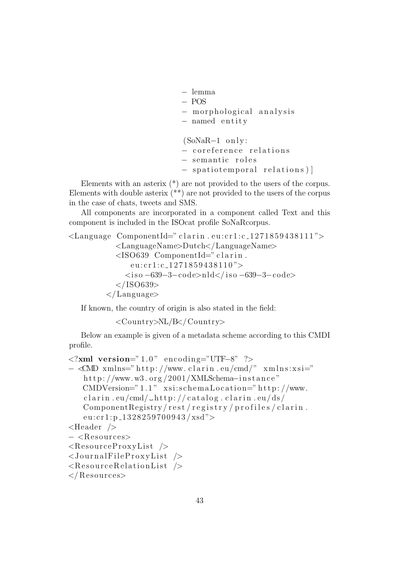- − lemma
- − POS
- − morphological analysis
- − named e n t i t y

 $(SoNaR-1)$  only: − coreference relations − seman tic r o l e s

− spatiotemporal relations) |

Elements with an asterix (\*) are not provided to the users of the corpus. Elements with double asterix  $(**)$  are not provided to the users of the corpus in the case of chats, tweets and SMS.

All components are incorporated in a component called Text and this component is included in the ISOcat profile SoNaRcorpus.

```
\langle \text{Language ComponentId} = \text{"client}. eu: cr1: c_1271859438111">
            <LanguageName>Dutch</LanguageName>
            <ISO639 ComponentId=" clarin.
                eu: cr1: c_1271859438110">
               <i s o −639−3−code>nld</ i s o −639−3−code>
            \langle/ISO639>
          \langleLanguage\rangle
```
If known, the country of origin is also stated in the field:

<Country>NL/B</ Country>

Below an example is given of a metadata scheme according to this CMDI profile.

```
\langle \text{2cm} \rangle version="1.0" encoding="UTF-8" ?>
− <CMD xmlns=" h t t p : //www. c l a r i n . eu/cmd/" xml n s: x si="
   http://www.w3.org/2001/XMLSchema-instance"
   CMDVersion="1.1" xsi:s chemaLocation="http://www.clarin.eu/cmd/\text{http://catalog.clarin.eu/ds/}ComponentRegistry/rest/registry/profiles/clarin.
   eu: cr1:p_1328259700943/xsd"<Header />
− <Re sou rce s>
\langleResourceProxyList \rangle\langleJournalFileProxyList \rangle\langleResourceRelationList \rangle\langle Resources>
```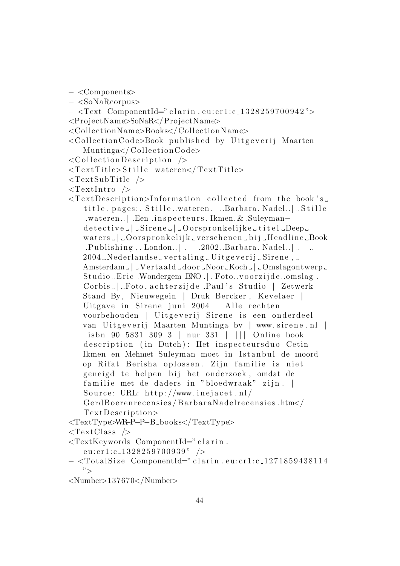− <Components>

- − <SoNaRcorpus>
- − <Text ComponentId=" c l a r i n . e u: c r 1: c 1 3 2 8 2 5 9 7 0 0 9 4 2 ">
- <ProjectName>SoNaR</ProjectName>
- <CollectionName>Books</CollectionName>
- <CollectionCode>Book published by Uitgeverij Maarten  $Muntinga < /^\circ$ Collection Code>
- $\langle$  Collection Description  $\rangle$
- $<$ TextTitle>Stille wateren</TextTitle>
- $\langle$ TextSubTitle  $\rangle$
- $<$ TextIntro  $\ge$
- $\langle$ TextDescription>Information collected from the book's.  $\text{title}\_\text{pages}\text{:} \_\text{Stille}\_\text{wateren}\_\text{max}\_\text{Barbara}\_\text{Nadel}\_\text{S}\text{title}$ wateren | Een i n s p e c t e u r s Ikmen & Suleyman− d e t e c t i v e  $\lfloor \bot$  Sirene  $\lfloor \bot$  O or spronkelijke  $\bot$  titel  $\bot$  Deep $\bot$ waters  $\lfloor \frac{\square}{2}$  O or spronkelijk  $\lfloor$  verschenen  $\lfloor$  bij  $\lfloor$  Headline  $\lfloor$  Book  $L$ Publishing, London  $L$   $L$  2002 Barbara Nadel  $L$ .  $2004$  Nederlandse vertaling Uitgeverij Sirene, Amsterdam | Vertaald door Noor Koch | Omslagontwerp |  $Studio$   $Eric$   $Wondergem$   $BNO$   $|$   $Foto$   $voorzijde$   $comslag$   $\Box$ Corbis \_ | \_Foto \_ a chterzijde \_ Paul's Studio | Zetwerk Stand By, Nieuwegein | Druk Bercker, Kevelaer | Uitgave in Sirene juni 2004 | Alle rechten voorbehouden | Uitgeverij Sirene is een onderdeel van Uitgeverij Maarten Muntinga bv | www.sirene.nl | isbn 90 5831 309 3 | nur 331 | ||| Online book description (in Dutch): Het inspecteursduo Cetin Ikmen en Mehmet Suleyman moet in Istanbul de moord op Rifat Berisha oplossen. Zijn familie is niet geneigd te helpen bij het onderzoek, omdat de familie met de daders in "bloedwraak" zijn. | Source: URL:  $http://www.inejacet.nl/$  $GerdBoerenrecensies/BarbaraNadelrecensies.html$ TextDescription>
- <TextType>WR−P−P−B books</TextType>
- $\langle$ TextClass  $\rangle$
- <TextKeywords ComponentId=" c l a r i n .

eu: cr1: c\_1328259700939" />

- − <T o t al Si z e ComponentId=" c l a r i n . e u: c r 1: c 1 2 7 1 8 5 9 4 3 8 1 1 4 ">
- <Number>137670</Number>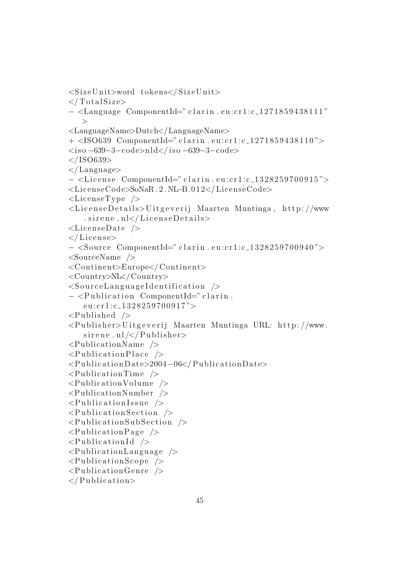```
<Si z eU ni t>word to k e n s</ Si z eU ni t>
\langle/TotalSize>
- <Language ComponentId=" clarin.eu: cr1: c_1271859438111"
   \geq<LanguageName>Dutch</LanguageName>
+ <ISO639 ComponentId=" clarin.eu:cr1:c_1271859438110">
\langleiso –639 - 3 - \text{code}ld\langleiso –639 - 3 - \text{code}\langle/ISO639>
\langleLanguage\rangle− <License ComponentId=" clarin.eu:cr1:c_1328259700915">
<Licen seCode>SoNaR . 2 . NL−B.012</ Licen seCode>
<LicenseType />
<L i c e n s e D e t a i l s>U i t g e v e r i j Maarten Muntinga , h t t p: //www
    s irene.nl</LicenseDetails>
\langleLicenseDate \rangle\langleLicense>− <Sou rce ComponentId=" c l a r i n . e u: c r 1: c 1 3 2 8 2 5 9 7 0 0 9 4 0 ">
<SourceName /\langleContinent\rangleEurope\langle/Continent\rangle<Country>NL</ Country>
\leqSourceLanguageIdentification \geq− <P u bli c a ti o n ComponentId=" c l a r i n .
    eu: cr1:c_1328259700917">\langlePublished \rangle<Publisher>Uitgeverij Maarten Muntinga URL: http://www.
    s irene. nl/\lt/ Publisher>
\langlePublicationName \rangle\langlePublicationPlace \rangle<P u bli ca tio nDa t e>2004−06</ P u bli ca tio nDa t e>
\langlePublicationTime \rangle\langlePublicationVolume \rangle<PublicationNumber />
\langlePublicationIssue \rangle\langlePublicationSection \rangle\langlePublicationSubSection \rangle\langlePublicationPage \rangle\langlePublicationId \rangle\langlePublicationLanguage \rangle\langlePublicationScope \rangle\langlePublicationGenre \rangle\langle Publication >
```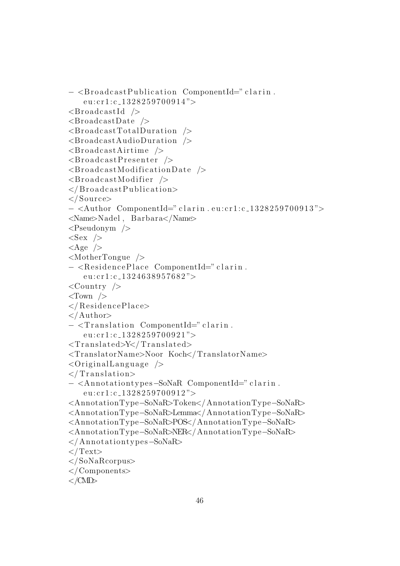```
− <BroadcastPublication ComponentId="clarin.
    eu: cr1:c_1328259700914"\langleBroadcastId \rangle\langleBroadcastDate \rangle\langleBroadcastTotalDuration \rangle\langleBroadcastAudioDuration \rangle\langleBroadcastAirtime \rangle\langleBroadcastPresenter \rangle\langleBroadcastModificationDate \rangle\langleBroadcastModifier \rangle\langle/BroadcastPublication>
\langle Source>
− <Author ComponentId=" c l a r i n . e u: c r 1: c 1 3 2 8 2 5 9 7 0 0 9 1 3 ">
<Name>Nadel , Barbara</Name>
<Pseudonym />
\langleSex \rangle\langleAge \rangle<MotherTongue />
− <R e si d e n c ePla c e ComponentId=" c l a r i n .
    eu: cr1: c_1324638957682">
\langleCountry \rangle<Town \ge\langle ResidencePlace>
\langle Author
− <Translation ComponentId=" clarin.
    eu: cr1:c_1328259700921">\langleTranslated>Y\langleTranslated>
<\!\!{\rm TranslatorName}\!\!>\!\!{\rm Noor\;\;Koch}\!\! <\!\!/{\rm TranslatorName}\!\!>\langleOriginalLanguage \rangle\langle/Translation>
− <Annotationtypes–SoNaR ComponentId=" clarin.
    eu: cr1: c_1328259700912">
<AnnotationType−SoNaR>Token</AnnotationType−SoNaR>
<AnnotationType−SoNaR>Lemma</AnnotationType−SoNaR>
<AnnotationType−SoNaR>POS</AnnotationType−SoNaR>
<AnnotationType−SoNaR>NER</AnnotationType−SoNaR>
</ Anno ta tion type s−SoNaR>
\langleText>\langleSoNaRcorpus>
</Components>
```

```
\langle (ND>
```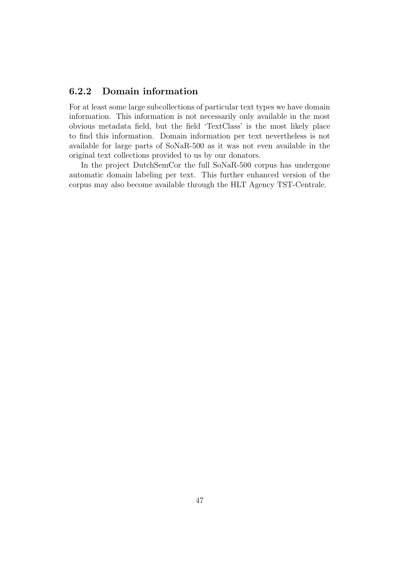### <span id="page-47-0"></span>6.2.2 Domain information

For at least some large subcollections of particular text types we have domain information. This information is not necessarily only available in the most obvious metadata field, but the field 'TextClass' is the most likely place to find this information. Domain information per text nevertheless is not available for large parts of SoNaR-500 as it was not even available in the original text collections provided to us by our donators.

In the project DutchSemCor the full SoNaR-500 corpus has undergone automatic domain labeling per text. This further enhanced version of the corpus may also become available through the HLT Agency TST-Centrale.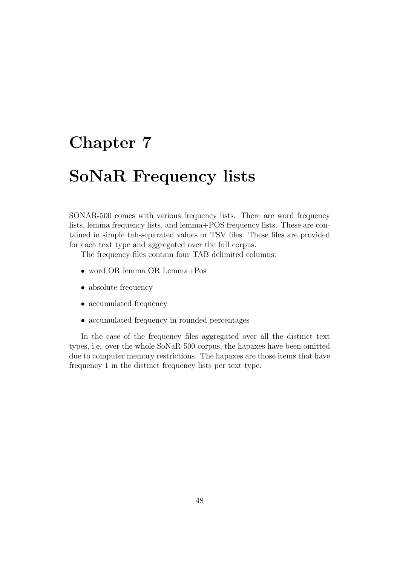# <span id="page-48-0"></span>Chapter 7

# SoNaR Frequency lists

SONAR-500 comes with various frequency lists. There are word frequency lists, lemma frequency lists, and lemma+POS frequency lists. These are contained in simple tab-separated values or TSV files. These files are provided for each text type and aggregated over the full corpus.

The frequency files contain four TAB delimited columns:

- word OR lemma OR Lemma+Pos
- absolute frequency
- accumulated frequency
- accumulated frequency in rounded percentages

In the case of the frequency files aggregated over all the distinct text types, i.e. over the whole SoNaR-500 corpus, the hapaxes have been omitted due to computer memory restrictions. The hapaxes are those items that have frequency 1 in the distinct frequency lists per text type.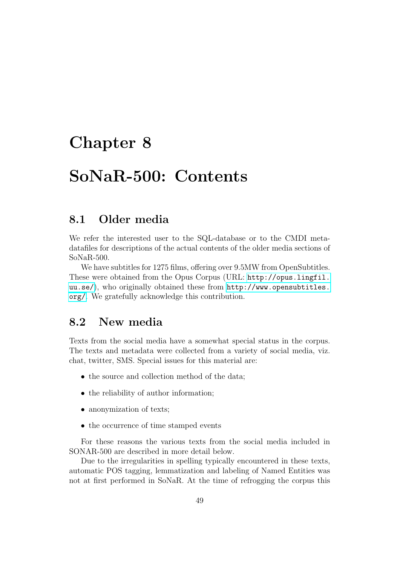# <span id="page-49-0"></span>Chapter 8

# SoNaR-500: Contents

## <span id="page-49-1"></span>8.1 Older media

We refer the interested user to the SQL-database or to the CMDI metadatafiles for descriptions of the actual contents of the older media sections of SoNaR-500.

We have subtitles for 1275 films, offering over 9.5MW from OpenSubtitles. These were obtained from the Opus Corpus (URL: [http://opus.lingfil.](http://opus.lingfil.uu.se/) [uu.se/](http://opus.lingfil.uu.se/)), who originally obtained these from [http://www.opensubtitles.](http://www.opensubtitles.org/) [org/](http://www.opensubtitles.org/). We gratefully acknowledge this contribution.

## <span id="page-49-2"></span>8.2 New media

Texts from the social media have a somewhat special status in the corpus. The texts and metadata were collected from a variety of social media, viz. chat, twitter, SMS. Special issues for this material are:

- the source and collection method of the data;
- the reliability of author information;
- anonymization of texts;
- the occurrence of time stamped events

For these reasons the various texts from the social media included in SONAR-500 are described in more detail below.

Due to the irregularities in spelling typically encountered in these texts, automatic POS tagging, lemmatization and labeling of Named Entities was not at first performed in SoNaR. At the time of refrogging the corpus this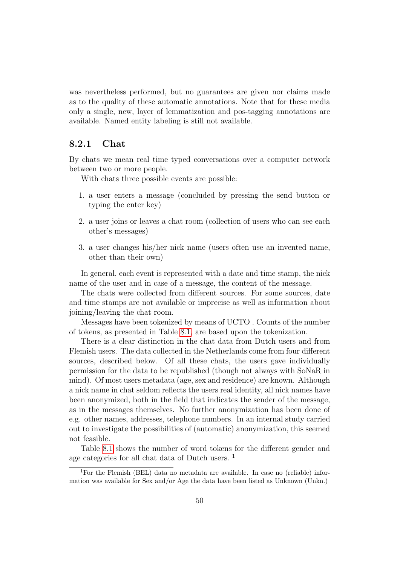was nevertheless performed, but no guarantees are given nor claims made as to the quality of these automatic annotations. Note that for these media only a single, new, layer of lemmatization and pos-tagging annotations are available. Named entity labeling is still not available.

### <span id="page-50-0"></span>8.2.1 Chat

By chats we mean real time typed conversations over a computer network between two or more people.

With chats three possible events are possible:

- 1. a user enters a message (concluded by pressing the send button or typing the enter key)
- 2. a user joins or leaves a chat room (collection of users who can see each other's messages)
- 3. a user changes his/her nick name (users often use an invented name, other than their own)

In general, each event is represented with a date and time stamp, the nick name of the user and in case of a message, the content of the message.

The chats were collected from different sources. For some sources, date and time stamps are not available or imprecise as well as information about joining/leaving the chat room.

Messages have been tokenized by means of UCTO . Counts of the number of tokens, as presented in Table [8.1,](#page-51-0) are based upon the tokenization.

There is a clear distinction in the chat data from Dutch users and from Flemish users. The data collected in the Netherlands come from four different sources, described below. Of all these chats, the users gave individually permission for the data to be republished (though not always with SoNaR in mind). Of most users metadata (age, sex and residence) are known. Although a nick name in chat seldom reflects the users real identity, all nick names have been anonymized, both in the field that indicates the sender of the message, as in the messages themselves. No further anonymization has been done of e.g. other names, addresses, telephone numbers. In an internal study carried out to investigate the possibilities of (automatic) anonymization, this seemed not feasible.

Table [8.1](#page-51-0) shows the number of word tokens for the different gender and age categories for all chat data of Dutch users.<sup>1</sup>

<sup>1</sup>For the Flemish (BEL) data no metadata are available. In case no (reliable) information was available for Sex and/or Age the data have been listed as Unknown (Unkn.)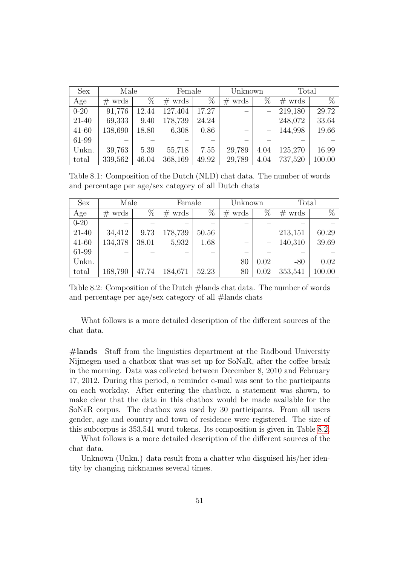| <b>Sex</b> | Male     |       | Female   |       | Unknown  |      | Total    |        |
|------------|----------|-------|----------|-------|----------|------|----------|--------|
| Age        | $#$ wrds | %     | $#$ wrds | $\%$  | $#$ wrds | $\%$ | $#$ wrds | $\%$   |
| $0 - 20$   | 91,776   | 12.44 | 127,404  | 17.27 |          |      | 219,180  | 29.72  |
| 21-40      | 69,333   | 9.40  | 178,739  | 24.24 |          |      | 248,072  | 33.64  |
| $41 - 60$  | 138,690  | 18.80 | 6,308    | 0.86  |          |      | 144,998  | 19.66  |
| 61-99      |          |       |          |       |          |      |          |        |
| Unkn.      | 39,763   | 5.39  | 55,718   | 7.55  | 29,789   | 4.04 | 125,270  | 16.99  |
| total      | 339,562  | 46.04 | 368,169  | 49.92 | 29,789   | 4.04 | 737,520  | 100.00 |

<span id="page-51-0"></span>Table 8.1: Composition of the Dutch (NLD) chat data. The number of words and percentage per age/sex category of all Dutch chats

| Sex       | Male            |       | Female          |       | Unknown   |      |           | Total  |  |
|-----------|-----------------|-------|-----------------|-------|-----------|------|-----------|--------|--|
| Age       | $^{\#}$<br>wrds | $\%$  | $^{\#}$<br>wrds | %     | #<br>wrds | %    | #<br>wrds | $\%$   |  |
| $0 - 20$  |                 |       |                 |       |           |      |           |        |  |
| $21 - 40$ | 34,412          | 9.73  | 178,739         | 50.56 |           |      | 213,151   | 60.29  |  |
| $41 - 60$ | 134,378         | 38.01 | 5,932           | 1.68  |           |      | 140,310   | 39.69  |  |
| 61-99     |                 |       |                 |       |           |      |           |        |  |
| Unkn.     |                 |       |                 |       | 80        | 0.02 | $-80$     | 0.02   |  |
| total     | 168,790         | 47.74 | 184,671         | 52.23 | 80        | 0.02 | 353,541   | 100.00 |  |

<span id="page-51-1"></span>Table 8.2: Composition of the Dutch #lands chat data. The number of words and percentage per age/sex category of all #lands chats

What follows is a more detailed description of the different sources of the chat data.

#lands Staff from the linguistics department at the Radboud University Nijmegen used a chatbox that was set up for SoNaR, after the coffee break in the morning. Data was collected between December 8, 2010 and February 17, 2012. During this period, a reminder e-mail was sent to the participants on each workday. After entering the chatbox, a statement was shown, to make clear that the data in this chatbox would be made available for the SoNaR corpus. The chatbox was used by 30 participants. From all users gender, age and country and town of residence were registered. The size of this subcorpus is 353,541 word tokens. Its composition is given in Table [8.2.](#page-51-1)

What follows is a more detailed description of the different sources of the chat data.

Unknown (Unkn.) data result from a chatter who disguised his/her identity by changing nicknames several times.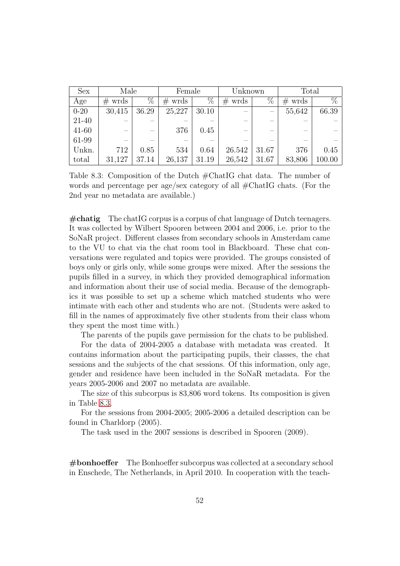| <b>Sex</b> | Male      |       | Female    |       | Unknown   |       | Total    |        |
|------------|-----------|-------|-----------|-------|-----------|-------|----------|--------|
| Age        | #<br>wrds | $\%$  | #<br>wrds | $\%$  | #<br>wrds | $\%$  | $#$ wrds | %      |
| $0 - 20$   | 30,415    | 36.29 | 25,227    | 30.10 |           |       | 55,642   | 66.39  |
| $21 - 40$  |           |       |           |       |           |       |          |        |
| $41 - 60$  |           |       | 376       | 0.45  |           |       |          |        |
| 61-99      |           |       |           |       |           |       |          |        |
| Unkn.      | 712       | 0.85  | 534       | 0.64  | 26.542    | 31.67 | 376      | 0.45   |
| total      | 31,127    | 37.14 | 26,137    | 31.19 | 26,542    | 31.67 | 83,806   | 100.00 |

<span id="page-52-0"></span>Table 8.3: Composition of the Dutch #ChatIG chat data. The number of words and percentage per age/sex category of all #ChatIG chats. (For the 2nd year no metadata are available.)

 $\#$ chatig The chatIG corpus is a corpus of chat language of Dutch teenagers. It was collected by Wilbert Spooren between 2004 and 2006, i.e. prior to the SoNaR project. Different classes from secondary schools in Amsterdam came to the VU to chat via the chat room tool in Blackboard. These chat conversations were regulated and topics were provided. The groups consisted of boys only or girls only, while some groups were mixed. After the sessions the pupils filled in a survey, in which they provided demographical information and information about their use of social media. Because of the demographics it was possible to set up a scheme which matched students who were intimate with each other and students who are not. (Students were asked to fill in the names of approximately five other students from their class whom they spent the most time with.)

The parents of the pupils gave permission for the chats to be published.

For the data of 2004-2005 a database with metadata was created. It contains information about the participating pupils, their classes, the chat sessions and the subjects of the chat sessions. Of this information, only age, gender and residence have been included in the SoNaR metadata. For the years 2005-2006 and 2007 no metadata are available.

The size of this subcorpus is 83,806 word tokens. Its composition is given in Table [8.3.](#page-52-0)

For the sessions from 2004-2005; 2005-2006 a detailed description can be found in Charldorp (2005).

The task used in the 2007 sessions is described in Spooren (2009).

#bonhoeffer The Bonhoeffer subcorpus was collected at a secondary school in Enschede, The Netherlands, in April 2010. In cooperation with the teach-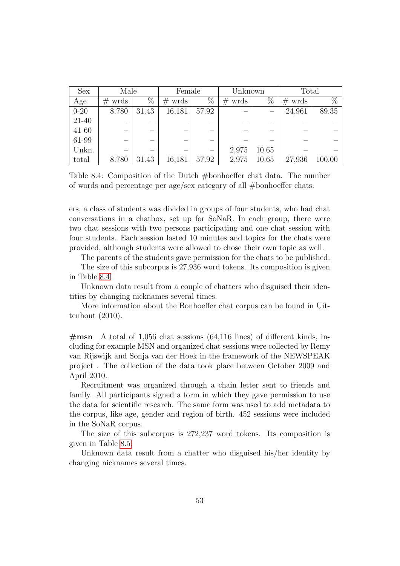| <b>Sex</b> | Male      |                 | Female    |                 | Unknown   |                 |          | Total      |  |
|------------|-----------|-----------------|-----------|-----------------|-----------|-----------------|----------|------------|--|
| Age        | #<br>wrds | $\overline{\%}$ | wrds<br># | $\overline{\%}$ | wrds<br># | $\overline{\%}$ | $#$ wrds | %          |  |
| $0 - 20$   | 8.780     | 31.43           | 16,181    | 57.92           |           |                 | 24,961   | 89.35      |  |
| $21 - 40$  |           |                 |           |                 |           |                 |          |            |  |
| $41 - 60$  |           |                 |           |                 |           |                 |          |            |  |
| 61-99      |           |                 |           |                 |           |                 |          |            |  |
| Unkn.      |           |                 |           |                 | 2,975     | 10.65           |          |            |  |
| total      | 8.780     | 31.43           | 16,181    | 57.92           | 2,975     | 10.65           | 27,936   | $100.00\,$ |  |

<span id="page-53-0"></span>Table 8.4: Composition of the Dutch #bonhoeffer chat data. The number of words and percentage per age/sex category of all #bonhoeffer chats.

ers, a class of students was divided in groups of four students, who had chat conversations in a chatbox, set up for SoNaR. In each group, there were two chat sessions with two persons participating and one chat session with four students. Each session lasted 10 minutes and topics for the chats were provided, although students were allowed to chose their own topic as well.

The parents of the students gave permission for the chats to be published.

The size of this subcorpus is 27,936 word tokens. Its composition is given in Table [8.4.](#page-53-0)

Unknown data result from a couple of chatters who disguised their identities by changing nicknames several times.

More information about the Bonhoeffer chat corpus can be found in Uittenhout (2010).

 $\#$ msn A total of 1,056 chat sessions (64,116 lines) of different kinds, including for example MSN and organized chat sessions were collected by Remy van Rijswijk and Sonja van der Hoek in the framework of the NEWSPEAK project . The collection of the data took place between October 2009 and April 2010.

Recruitment was organized through a chain letter sent to friends and family. All participants signed a form in which they gave permission to use the data for scientific research. The same form was used to add metadata to the corpus, like age, gender and region of birth. 452 sessions were included in the SoNaR corpus.

The size of this subcorpus is 272,237 word tokens. Its composition is given in Table [8.5.](#page-54-1)

Unknown data result from a chatter who disguised his/her identity by changing nicknames several times.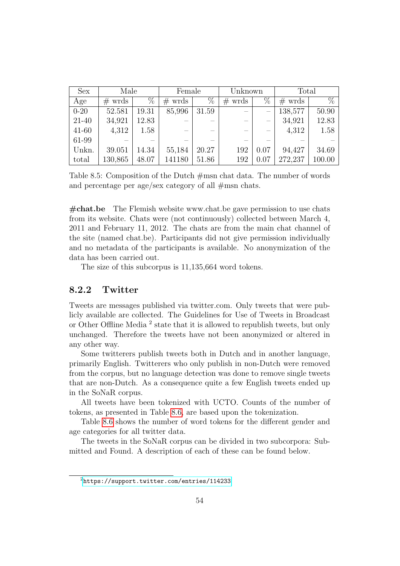| <b>Sex</b> |          | Male  |          | Female |          | Unknown |          | Total  |  |
|------------|----------|-------|----------|--------|----------|---------|----------|--------|--|
| Age        | $#$ wrds | $\%$  | $#$ wrds | $\%$   | $#$ wrds | $\%$    | $#$ wrds | $\%$   |  |
| $0 - 20$   | 52.581   | 19.31 | 85,996   | 31.59  |          |         | 138,577  | 50.90  |  |
| $21 - 40$  | 34,921   | 12.83 |          |        |          |         | 34,921   | 12.83  |  |
| $41 - 60$  | 4,312    | 1.58  |          |        |          |         | 4,312    | 1.58   |  |
| 61-99      |          |       |          |        |          |         |          |        |  |
| Unkn.      | 39.051   | 14.34 | 55,184   | 20.27  | 192      | 0.07    | 94,427   | 34.69  |  |
| total      | 130,865  | 48.07 | 141180   | 51.86  | 192      | 0.07    | 272,237  | 100.00 |  |

<span id="page-54-1"></span>Table 8.5: Composition of the Dutch #msn chat data. The number of words and percentage per age/sex category of all  $\#$ msn chats.

 $\#$ chat.be The Flemish website www.chat.be gave permission to use chats from its website. Chats were (not continuously) collected between March 4, 2011 and February 11, 2012. The chats are from the main chat channel of the site (named chat.be). Participants did not give permission individually and no metadata of the participants is available. No anonymization of the data has been carried out.

The size of this subcorpus is 11,135,664 word tokens.

### <span id="page-54-0"></span>8.2.2 Twitter

Tweets are messages published via twitter.com. Only tweets that were publicly available are collected. The Guidelines for Use of Tweets in Broadcast or Other Offline Media<sup>2</sup> state that it is allowed to republish tweets, but only unchanged. Therefore the tweets have not been anonymized or altered in any other way.

Some twitterers publish tweets both in Dutch and in another language, primarily English. Twitterers who only publish in non-Dutch were removed from the corpus, but no language detection was done to remove single tweets that are non-Dutch. As a consequence quite a few English tweets ended up in the SoNaR corpus.

All tweets have been tokenized with UCTO. Counts of the number of tokens, as presented in Table [8.6,](#page-55-0) are based upon the tokenization.

Table [8.6](#page-55-0) shows the number of word tokens for the different gender and age categories for all twitter data.

The tweets in the SoNaR corpus can be divided in two subcorpora: Submitted and Found. A description of each of these can be found below.

<sup>2</sup><https://support.twitter.com/entries/114233>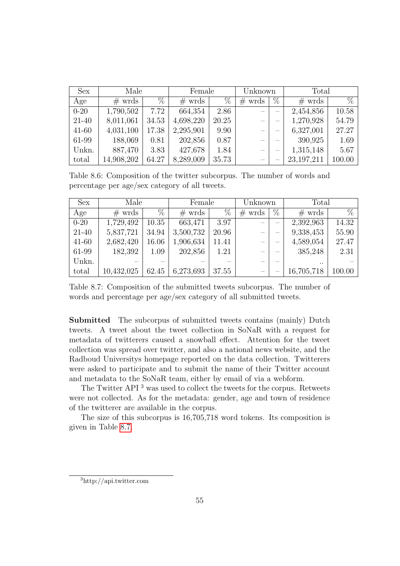| Sex       | Male       |       | Female    |       | Unknown                         |      | Total        |        |
|-----------|------------|-------|-----------|-------|---------------------------------|------|--------------|--------|
| Age       | $#$ wrds   | %     | $#$ wrds  | $\%$  | #<br>wrds                       | $\%$ | $#$ wrds     | $\%$   |
| $0 - 20$  | 1,790,502  | 7.72  | 664,354   | 2.86  | $\overline{\phantom{m}}$        |      | 2,454,856    | 10.58  |
| $21 - 40$ | 8,011,061  | 34.53 | 4,698,220 | 20.25 | $\hspace{0.1mm}-\hspace{0.1mm}$ |      | 1,270,928    | 54.79  |
| $41 - 60$ | 4,031,100  | 17.38 | 2,295,901 | 9.90  | —                               |      | 6,327,001    | 27.27  |
| 61-99     | 188,069    | 0.81  | 202,856   | 0.87  |                                 |      | 390,925      | 1.69   |
| Unkn.     | 887,470    | 3.83  | 427,678   | 1.84  |                                 |      | 1,315,148    | 5.67   |
| total     | 14,908,202 | 64.27 | 8,289,009 | 35.73 |                                 |      | 23, 197, 211 | 100.00 |

<span id="page-55-0"></span>Table 8.6: Composition of the twitter subcorpus. The number of words and percentage per age/sex category of all tweets.

| Sex       | Male       |       |           | Female |           | Unknown | Total      |        |
|-----------|------------|-------|-----------|--------|-----------|---------|------------|--------|
| Age       | $#$ wrds   | $\%$  | $#$ wrds  | $\%$   | #<br>wrds | $\%$    | $#$ wrds   | $\%$   |
| $0 - 20$  | 1,729,492  | 10.35 | 663,471   | 3.97   |           |         | 2,392,963  | 14.32  |
| $21 - 40$ | 5,837,721  | 34.94 | 3,500,732 | 20.96  | -         |         | 9,338,453  | 55.90  |
| $41 - 60$ | 2,682,420  | 16.06 | 1,906,634 | 11.41  |           |         | 4,589,054  | 27.47  |
| 61-99     | 182,392    | 1.09  | 202,856   | 1.21   | -         |         | 385,248    | 2.31   |
| Unkn.     |            |       |           |        | -         |         | $\cdot$ .  |        |
| total     | 10,432,025 | 62.45 | 6,273,693 | 37.55  |           |         | 16,705,718 | 100.00 |

<span id="page-55-1"></span>Table 8.7: Composition of the submitted tweets subcorpus. The number of words and percentage per age/sex category of all submitted tweets.

Submitted The subcorpus of submitted tweets contains (mainly) Dutch tweets. A tweet about the tweet collection in SoNaR with a request for metadata of twitterers caused a snowball effect. Attention for the tweet collection was spread over twitter, and also a national news website, and the Radboud Universitys homepage reported on the data collection. Twitterers were asked to participate and to submit the name of their Twitter account and metadata to the SoNaR team, either by email of via a webform.

The Twitter API <sup>3</sup> was used to collect the tweets for the corpus. Retweets were not collected. As for the metadata: gender, age and town of residence of the twitterer are available in the corpus.

The size of this subcorpus is 16,705,718 word tokens. Its composition is given in Table [8.7.](#page-55-1)

<sup>3</sup>http://api.twitter.com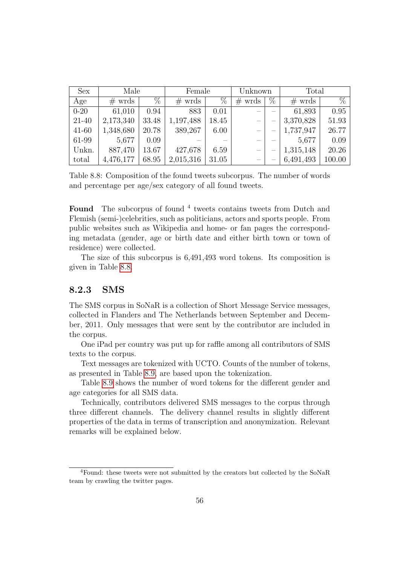| <b>Sex</b> | Male      |       |           | Female |                                | Unknown | Total     |        |
|------------|-----------|-------|-----------|--------|--------------------------------|---------|-----------|--------|
| Age        | $#$ wrds  | $\%$  | $#$ wrds  | %      | $#$ wrds                       | %       | $#$ wrds  | $\%$   |
| $0 - 20$   | 61,010    | 0.94  | 883       | 0.01   |                                |         | 61,893    | 0.95   |
| $21 - 40$  | 2,173,340 | 33.48 | 1,197,488 | 18.45  | $\overline{\phantom{m}}$       |         | 3,370,828 | 51.93  |
| $41 - 60$  | 1,348,680 | 20.78 | 389,267   | 6.00   | $\qquad \qquad \longleftarrow$ |         | 1,737,947 | 26.77  |
| 61-99      | 5,677     | 0.09  |           |        |                                |         | 5,677     | 0.09   |
| Unkn.      | 887,470   | 13.67 | 427,678   | 6.59   |                                |         | 1,315,148 | 20.26  |
| total      | 4,476,177 | 68.95 | 2,015,316 | 31.05  |                                |         | 6,491,493 | 100.00 |

<span id="page-56-1"></span>Table 8.8: Composition of the found tweets subcorpus. The number of words and percentage per age/sex category of all found tweets.

Found The subcorpus of found <sup>4</sup> tweets contains tweets from Dutch and Flemish (semi-)celebrities, such as politicians, actors and sports people. From public websites such as Wikipedia and home- or fan pages the corresponding metadata (gender, age or birth date and either birth town or town of residence) were collected.

The size of this subcorpus is 6,491,493 word tokens. Its composition is given in Table [8.8.](#page-56-1)

### <span id="page-56-0"></span>8.2.3 SMS

The SMS corpus in SoNaR is a collection of Short Message Service messages, collected in Flanders and The Netherlands between September and December, 2011. Only messages that were sent by the contributor are included in the corpus.

One iPad per country was put up for raffle among all contributors of SMS texts to the corpus.

Text messages are tokenized with UCTO. Counts of the number of tokens, as presented in Table [8.9,](#page-57-0) are based upon the tokenization.

Table [8.9](#page-57-0) shows the number of word tokens for the different gender and age categories for all SMS data.

Technically, contributors delivered SMS messages to the corpus through three different channels. The delivery channel results in slightly different properties of the data in terms of transcription and anonymization. Relevant remarks will be explained below.

<sup>&</sup>lt;sup>4</sup>Found: these tweets were not submitted by the creators but collected by the SoNaR team by crawling the twitter pages.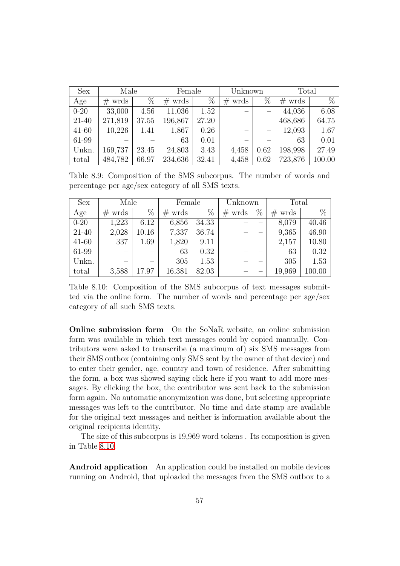| <b>Sex</b> | Male     |       | Female   |       | Unknown  |      | Total    |        |
|------------|----------|-------|----------|-------|----------|------|----------|--------|
| Age        | $#$ wrds | $\%$  | $#$ wrds | %     | $#$ wrds | $\%$ | $#$ wrds | $\%$   |
| $0 - 20$   | 33,000   | 4.56  | 11,036   | 1.52  |          |      | 44,036   | 6.08   |
| $21 - 40$  | 271,819  | 37.55 | 196,867  | 27.20 |          |      | 468,686  | 64.75  |
| $41 - 60$  | 10,226   | 1.41  | 1,867    | 0.26  |          |      | 12,093   | 1.67   |
| 61-99      |          |       | 63       | 0.01  |          |      | 63       | 0.01   |
| Unkn.      | 169,737  | 23.45 | 24,803   | 3.43  | 4,458    | 0.62 | 198,998  | 27.49  |
| total      | 484,782  | 66.97 | 234,636  | 32.41 | 4,458    | 0.62 | 723,876  | 100.00 |

<span id="page-57-0"></span>Table 8.9: Composition of the SMS subcorpus. The number of words and percentage per age/sex category of all SMS texts.

| Sex       | Male      |       |          | Female |                          | Unknown |                 | Total  |  |
|-----------|-----------|-------|----------|--------|--------------------------|---------|-----------------|--------|--|
| Age       | wrds<br># | %     | $#$ wrds | %      | wrds<br>#                | %       | $^{\#}$<br>wrds | $\%$   |  |
| $0 - 20$  | 1,223     | 6.12  | 6,856    | 34.33  |                          |         | 8,079           | 40.46  |  |
| $21 - 40$ | 2,028     | 10.16 | 7,337    | 36.74  | $\overline{\phantom{m}}$ |         | 9,365           | 46.90  |  |
| $41 - 60$ | 337       | 1.69  | 1,820    | 9.11   |                          |         | 2,157           | 10.80  |  |
| 61-99     |           |       | 63       | 0.32   |                          |         | 63              | 0.32   |  |
| Unkn.     | -         |       | 305      | 1.53   |                          |         | 305             | 1.53   |  |
| total     | 3,588     | 17.97 | 16,381   | 82.03  |                          |         | 19,969          | 100.00 |  |

<span id="page-57-1"></span>Table 8.10: Composition of the SMS subcorpus of text messages submitted via the online form. The number of words and percentage per age/sex category of all such SMS texts.

Online submission form On the SoNaR website, an online submission form was available in which text messages could by copied manually. Contributors were asked to transcribe (a maximum of) six SMS messages from their SMS outbox (containing only SMS sent by the owner of that device) and to enter their gender, age, country and town of residence. After submitting the form, a box was showed saying click here if you want to add more messages. By clicking the box, the contributor was sent back to the submission form again. No automatic anonymization was done, but selecting appropriate messages was left to the contributor. No time and date stamp are available for the original text messages and neither is information available about the original recipients identity.

The size of this subcorpus is 19,969 word tokens . Its composition is given in Table [8.10.](#page-57-1)

Android application An application could be installed on mobile devices running on Android, that uploaded the messages from the SMS outbox to a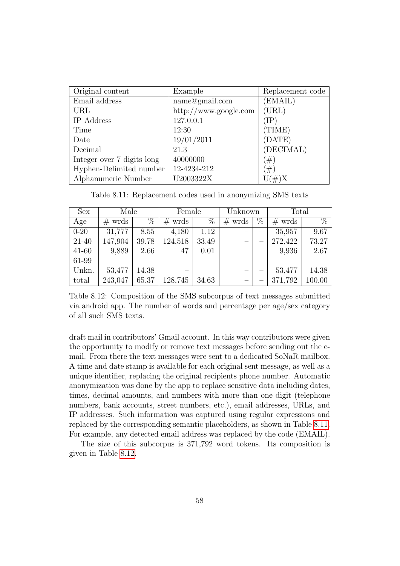| Original content           | Example               | Replacement code |
|----------------------------|-----------------------|------------------|
| Email address              | name@gmail.com        | (EMAIL)          |
| URL                        | http://www.google.com | (URL)            |
| IP Address                 | 127.0.0.1             | ΊP`              |
| Time                       | 12:30                 | (TIME)           |
| Date                       | 19/01/2011            | (DATE)           |
| Decimal                    | 21.3                  | (DECIMAL)        |
| Integer over 7 digits long | 40000000              | $(\#)$           |
| Hyphen-Delimited number    | 12-4234-212           | $(\#)$           |
| Alphanumeric Number        | U2003322X             | $U(\#)X$         |

<span id="page-58-0"></span>Table 8.11: Replacement codes used in anonymizing SMS texts

| <b>Sex</b> | Male     |       |          | Female |                          | Unknown         |          | Total           |  |
|------------|----------|-------|----------|--------|--------------------------|-----------------|----------|-----------------|--|
| Age        | $#$ wrds | $\%$  | $#$ wrds | %      | $#$ wrds                 | $\overline{\%}$ | $#$ wrds | $\overline{\%}$ |  |
| $0 - 20$   | 31,777   | 8.55  | 4,180    | 1.12   |                          |                 | 35,957   | 9.67            |  |
| $21 - 40$  | 147,904  | 39.78 | 124,518  | 33.49  | $\overline{\phantom{m}}$ |                 | 272,422  | 73.27           |  |
| $41 - 60$  | 9,889    | 2.66  | 47       | 0.01   |                          |                 | 9,936    | 2.67            |  |
| 61-99      |          |       |          |        | $\overline{\phantom{0}}$ |                 |          |                 |  |
| Unkn.      | 53,477   | 14.38 |          |        | $\overline{\phantom{m}}$ |                 | 53,477   | 14.38           |  |
| total      | 243,047  | 65.37 | 128,745  | 34.63  |                          |                 | 371,792  | 100.00          |  |

<span id="page-58-1"></span>Table 8.12: Composition of the SMS subcorpus of text messages submitted via android app. The number of words and percentage per age/sex category of all such SMS texts.

draft mail in contributors' Gmail account. In this way contributors were given the opportunity to modify or remove text messages before sending out the email. From there the text messages were sent to a dedicated SoNaR mailbox. A time and date stamp is available for each original sent message, as well as a unique identifier, replacing the original recipients phone number. Automatic anonymization was done by the app to replace sensitive data including dates, times, decimal amounts, and numbers with more than one digit (telephone numbers, bank accounts, street numbers, etc.), email addresses, URLs, and IP addresses. Such information was captured using regular expressions and replaced by the corresponding semantic placeholders, as shown in Table [8.11.](#page-58-0) For example, any detected email address was replaced by the code (EMAIL).

The size of this subcorpus is 371,792 word tokens. Its composition is given in Table [8.12.](#page-58-1)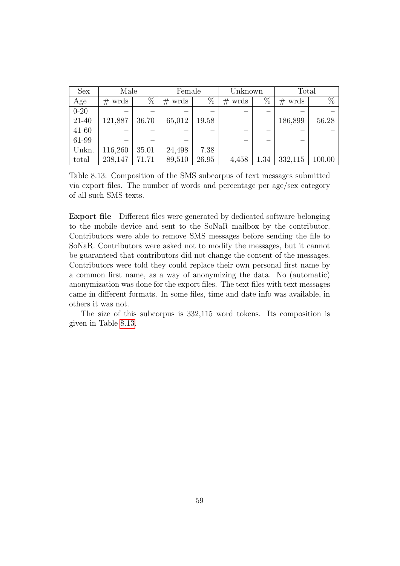| <b>Sex</b> | Male     |       | Female   |       | Unknown  |      | Total    |        |
|------------|----------|-------|----------|-------|----------|------|----------|--------|
| Age        | $#$ wrds | $\%$  | $#$ wrds | $\%$  | $#$ wrds | $\%$ | $#$ wrds | $\%$   |
| $0 - 20$   |          |       |          |       |          |      |          |        |
| 21-40      | 121,887  | 36.70 | 65,012   | 19.58 |          |      | 186,899  | 56.28  |
| $41 - 60$  |          |       |          |       |          |      |          |        |
| 61-99      |          |       |          |       |          |      |          |        |
| Unkn.      | 116,260  | 35.01 | 24,498   | 7.38  |          |      |          |        |
| total      | 238,147  | 71.71 | 89,510   | 26.95 | 4,458    | 1.34 | 332,115  | 100.00 |

<span id="page-59-0"></span>Table 8.13: Composition of the SMS subcorpus of text messages submitted via export files. The number of words and percentage per age/sex category of all such SMS texts.

Export file Different files were generated by dedicated software belonging to the mobile device and sent to the SoNaR mailbox by the contributor. Contributors were able to remove SMS messages before sending the file to SoNaR. Contributors were asked not to modify the messages, but it cannot be guaranteed that contributors did not change the content of the messages. Contributors were told they could replace their own personal first name by a common first name, as a way of anonymizing the data. No (automatic) anonymization was done for the export files. The text files with text messages came in different formats. In some files, time and date info was available, in others it was not.

The size of this subcorpus is 332,115 word tokens. Its composition is given in Table [8.13.](#page-59-0)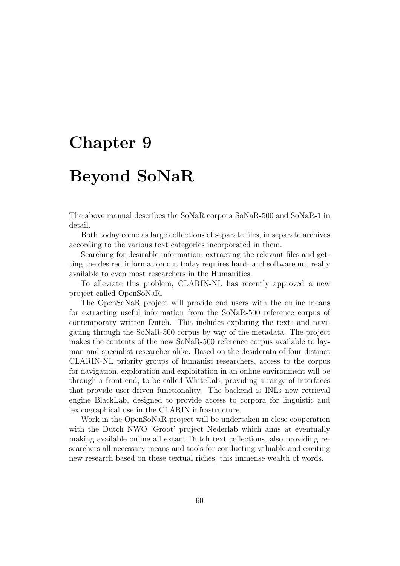# <span id="page-60-0"></span>Chapter 9

# Beyond SoNaR

The above manual describes the SoNaR corpora SoNaR-500 and SoNaR-1 in detail.

Both today come as large collections of separate files, in separate archives according to the various text categories incorporated in them.

Searching for desirable information, extracting the relevant files and getting the desired information out today requires hard- and software not really available to even most researchers in the Humanities.

To alleviate this problem, CLARIN-NL has recently approved a new project called OpenSoNaR.

The OpenSoNaR project will provide end users with the online means for extracting useful information from the SoNaR-500 reference corpus of contemporary written Dutch. This includes exploring the texts and navigating through the SoNaR-500 corpus by way of the metadata. The project makes the contents of the new SoNaR-500 reference corpus available to layman and specialist researcher alike. Based on the desiderata of four distinct CLARIN-NL priority groups of humanist researchers, access to the corpus for navigation, exploration and exploitation in an online environment will be through a front-end, to be called WhiteLab, providing a range of interfaces that provide user-driven functionality. The backend is INLs new retrieval engine BlackLab, designed to provide access to corpora for linguistic and lexicographical use in the CLARIN infrastructure.

Work in the OpenSoNaR project will be undertaken in close cooperation with the Dutch NWO 'Groot' project Nederlab which aims at eventually making available online all extant Dutch text collections, also providing researchers all necessary means and tools for conducting valuable and exciting new research based on these textual riches, this immense wealth of words.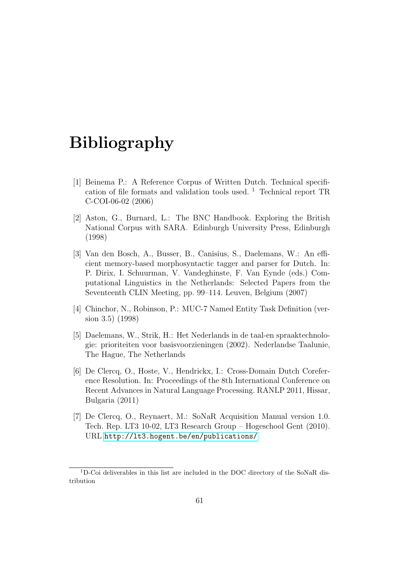# Bibliography

- <span id="page-61-2"></span>[1] Beinema P.: A Reference Corpus of Written Dutch. Technical specification of file formats and validation tools used. <sup>1</sup> Technical report TR C-COI-06-02 (2006)
- [2] Aston, G., Burnard, L.: The BNC Handbook. Exploring the British National Corpus with SARA. Edinburgh University Press, Edinburgh (1998)
- <span id="page-61-3"></span>[3] Van den Bosch, A., Busser, B., Canisius, S., Daelemans, W.: An efficient memory-based morphosyntactic tagger and parser for Dutch. In: P. Dirix, I. Schuurman, V. Vandeghinste, F. Van Eynde (eds.) Computational Linguistics in the Netherlands: Selected Papers from the Seventeenth CLIN Meeting, pp. 99–114. Leuven, Belgium (2007)
- <span id="page-61-1"></span>[4] Chinchor, N., Robinson, P.: MUC-7 Named Entity Task Definition (version 3.5) (1998)
- <span id="page-61-0"></span>[5] Daelemans, W., Strik, H.: Het Nederlands in de taal-en spraaktechnologie: prioriteiten voor basisvoorzieningen (2002). Nederlandse Taalunie, The Hague, The Netherlands
- <span id="page-61-5"></span>[6] De Clercq, O., Hoste, V., Hendrickx, I.: Cross-Domain Dutch Coreference Resolution. In: Proceedings of the 8th International Conference on Recent Advances in Natural Language Processing. RANLP 2011, Hissar, Bulgaria (2011)
- <span id="page-61-4"></span>[7] De Clercq, O., Reynaert, M.: SoNaR Acquisition Manual version 1.0. Tech. Rep. LT3 10-02, LT3 Research Group – Hogeschool Gent (2010). URL <http://lt3.hogent.be/en/publications/>

<sup>1</sup>D-Coi deliverables in this list are included in the DOC directory of the SoNaR distribution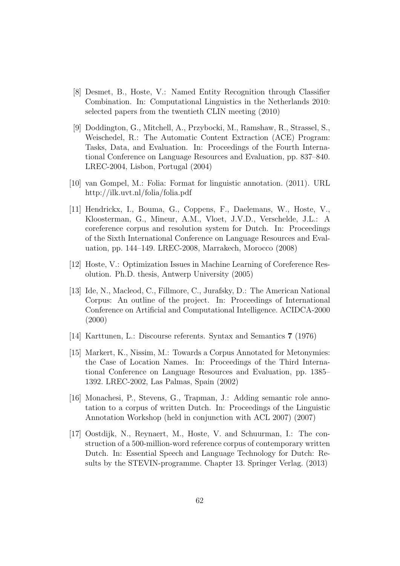- <span id="page-62-7"></span>[8] Desmet, B., Hoste, V.: Named Entity Recognition through Classifier Combination. In: Computational Linguistics in the Netherlands 2010: selected papers from the twentieth CLIN meeting (2010)
- <span id="page-62-1"></span>[9] Doddington, G., Mitchell, A., Przybocki, M., Ramshaw, R., Strassel, S., Weischedel, R.: The Automatic Content Extraction (ACE) Program: Tasks, Data, and Evaluation. In: Proceedings of the Fourth International Conference on Language Resources and Evaluation, pp. 837–840. LREC-2004, Lisbon, Portugal (2004)
- <span id="page-62-6"></span>[10] van Gompel, M.: Folia: Format for linguistic annotation. (2011). URL http://ilk.uvt.nl/folia/folia.pdf
- <span id="page-62-4"></span>[11] Hendrickx, I., Bouma, G., Coppens, F., Daelemans, W., Hoste, V., Kloosterman, G., Mineur, A.M., Vloet, J.V.D., Verschelde, J.L.: A coreference corpus and resolution system for Dutch. In: Proceedings of the Sixth International Conference on Language Resources and Evaluation, pp. 144–149. LREC-2008, Marrakech, Morocco (2008)
- <span id="page-62-3"></span>[12] Hoste, V.: Optimization Issues in Machine Learning of Coreference Resolution. Ph.D. thesis, Antwerp University (2005)
- [13] Ide, N., Macleod, C., Fillmore, C., Jurafsky, D.: The American National Corpus: An outline of the project. In: Proceedings of International Conference on Artificial and Computational Intelligence. ACIDCA-2000 (2000)
- <span id="page-62-5"></span>[14] Karttunen, L.: Discourse referents. Syntax and Semantics 7 (1976)
- <span id="page-62-2"></span>[15] Markert, K., Nissim, M.: Towards a Corpus Annotated for Metonymies: the Case of Location Names. In: Proceedings of the Third International Conference on Language Resources and Evaluation, pp. 1385– 1392. LREC-2002, Las Palmas, Spain (2002)
- <span id="page-62-8"></span>[16] Monachesi, P., Stevens, G., Trapman, J.: Adding semantic role annotation to a corpus of written Dutch. In: Proceedings of the Linguistic Annotation Workshop (held in conjunction with ACL 2007) (2007)
- <span id="page-62-0"></span>[17] Oostdijk, N., Reynaert, M., Hoste, V. and Schuurman, I.: The construction of a 500-million-word reference corpus of contemporary written Dutch. In: Essential Speech and Language Technology for Dutch: Results by the STEVIN-programme. Chapter 13. Springer Verlag. (2013)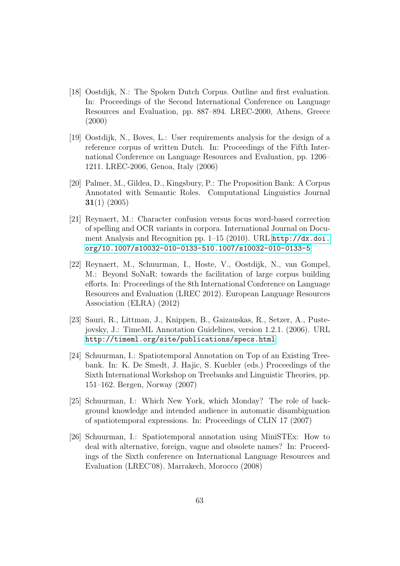- <span id="page-63-0"></span>[18] Oostdijk, N.: The Spoken Dutch Corpus. Outline and first evaluation. In: Proceedings of the Second International Conference on Language Resources and Evaluation, pp. 887–894. LREC-2000, Athens, Greece (2000)
- [19] Oostdijk, N., Boves, L.: User requirements analysis for the design of a reference corpus of written Dutch. In: Proceedings of the Fifth International Conference on Language Resources and Evaluation, pp. 1206– 1211. LREC-2006, Genoa, Italy (2006)
- <span id="page-63-2"></span>[20] Palmer, M., Gildea, D., Kingsbury, P.: The Proposition Bank: A Corpus Annotated with Semantic Roles. Computational Linguistics Journal  $31(1)$  (2005)
- <span id="page-63-6"></span>[21] Reynaert, M.: Character confusion versus focus word-based correction of spelling and OCR variants in corpora. International Journal on Document Analysis and Recognition pp. 1–15 (2010). URL [http://dx.doi.](http://dx.doi.org/10.1007/s10032-010-0133-510.1007/s10032-010-0133-5) [org/10.1007/s10032-010-0133-510.1007/s10032-010-0133-5](http://dx.doi.org/10.1007/s10032-010-0133-510.1007/s10032-010-0133-5)
- <span id="page-63-1"></span>[22] Reynaert, M., Schuurman, I., Hoste, V., Oostdijk, N., van Gompel, M.: Beyond SoNaR: towards the facilitation of large corpus building efforts. In: Proceedings of the 8th International Conference on Language Resources and Evaluation (LREC 2012). European Language Resources Association (ELRA) (2012)
- <span id="page-63-5"></span>[23] Sauri, R., Littman, J., Knippen, B., Gaizauskas, R., Setzer, A., Pustejovsky, J.: TimeML Annotation Guidelines, version 1.2.1. (2006). URL <http://timeml.org/site/publications/specs.html>
- [24] Schuurman, I.: Spatiotemporal Annotation on Top of an Existing Treebank. In: K. De Smedt, J. Hajic, S. Kuebler (eds.) Proceedings of the Sixth International Workshop on Treebanks and Linguistic Theories, pp. 151–162. Bergen, Norway (2007)
- <span id="page-63-3"></span>[25] Schuurman, I.: Which New York, which Monday? The role of background knowledge and intended audience in automatic disambiguation of spatiotemporal expressions. In: Proceedings of CLIN 17 (2007)
- <span id="page-63-4"></span>[26] Schuurman, I.: Spatiotemporal annotation using MiniSTEx: How to deal with alternative, foreign, vague and obsolete names? In: Proceedings of the Sixth conference on International Language Resources and Evaluation (LREC'08). Marrakech, Morocco (2008)